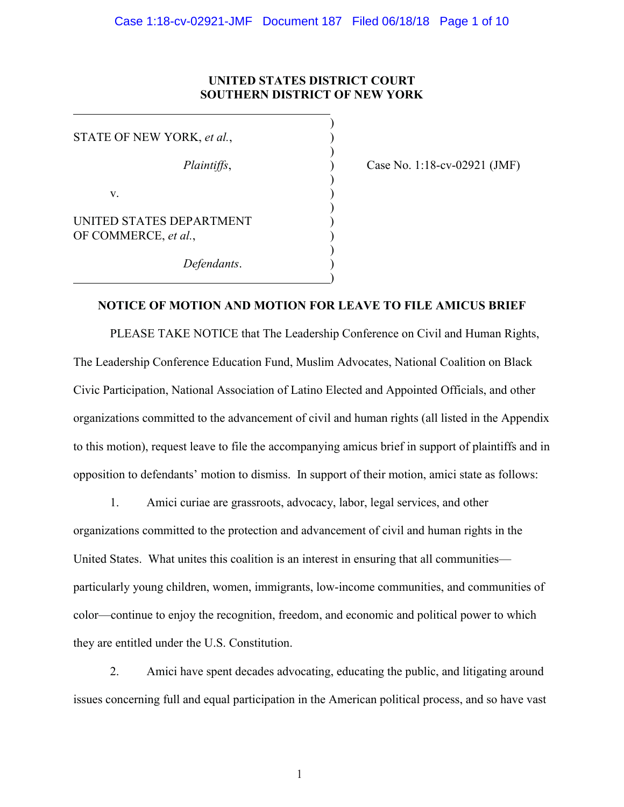# **UNITED STATES DISTRICT COURT SOUTHERN DISTRICT OF NEW YORK**

)

)

)

)

)

)

STATE OF NEW YORK, *et al.*,  $\mathbf v.$  ) UNITED STATES DEPARTMENT OF COMMERCE, et al.,

*Defendants*. )

*Plaintiffs*, 2002 (*Plaintiffs*, 2008) Case No. 1:18-cv-02921 (JMF)

# **NOTICE OF MOTION AND MOTION FOR LEAVE TO FILE AMICUS BRIEF**

PLEASE TAKE NOTICE that The Leadership Conference on Civil and Human Rights, The Leadership Conference Education Fund, Muslim Advocates, National Coalition on Black Civic Participation, National Association of Latino Elected and Appointed Officials, and other organizations committed to the advancement of civil and human rights (all listed in the Appendix to this motion), request leave to file the accompanying amicus brief in support of plaintiffs and in opposition to defendants' motion to dismiss. In support of their motion, amici state as follows:

1. Amici curiae are grassroots, advocacy, labor, legal services, and other organizations committed to the protection and advancement of civil and human rights in the United States. What unites this coalition is an interest in ensuring that all communities particularly young children, women, immigrants, low-income communities, and communities of color—continue to enjoy the recognition, freedom, and economic and political power to which they are entitled under the U.S. Constitution.

2. Amici have spent decades advocating, educating the public, and litigating around issues concerning full and equal participation in the American political process, and so have vast

 $\mathbf{1}$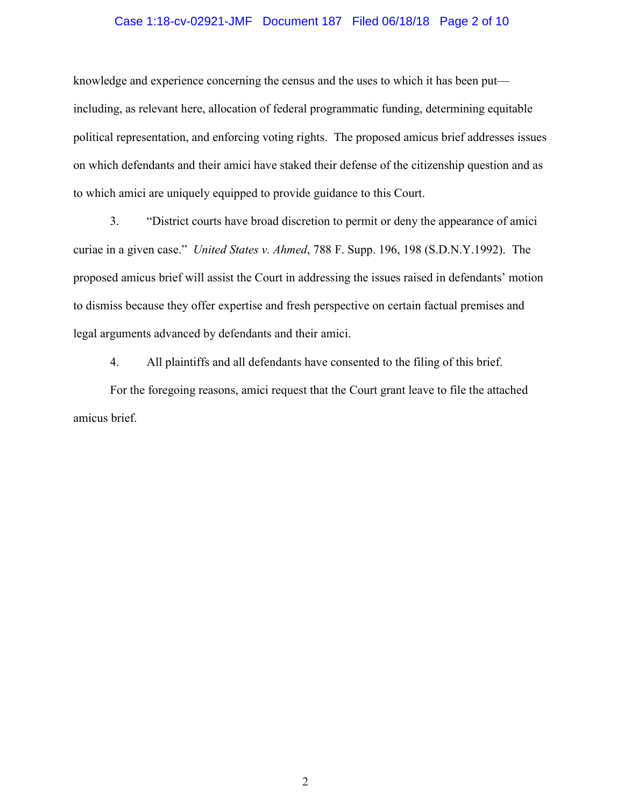#### Case 1:18-cv-02921-JMF Document 187 Filed 06/18/18 Page 2 of 10

knowledge and experience concerning the census and the uses to which it has been put including, as relevant here, allocation of federal programmatic funding, determining equitable political representation, and enforcing voting rights. The proposed amicus brief addresses issues on which defendants and their amici have staked their defense of the citizenship question and as to which amici are uniquely equipped to provide guidance to this Court.

3. "District courts have broad discretion to permit or deny the appearance of amici curiae in a given case." *United States v. Ahmed*, 788 F. Supp. 196, 198 (S.D.N.Y.1992). The proposed amicus brief will assist the Court in addressing the issues raised in defendants' motion to dismiss because they offer expertise and fresh perspective on certain factual premises and legal arguments advanced by defendants and their amici.

4. All plaintiffs and all defendants have consented to the filing of this brief.

For the foregoing reasons, amici request that the Court grant leave to file the attached amicus brief.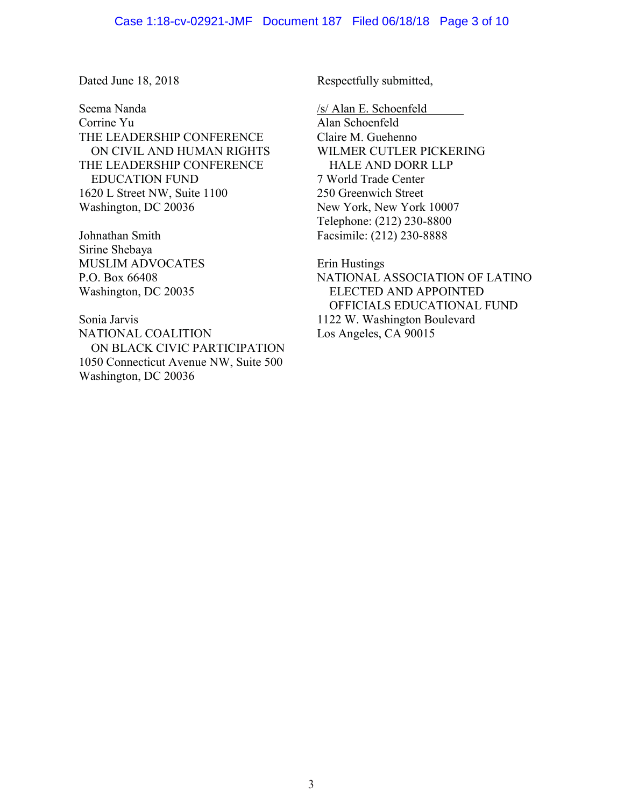Seema Nanda Corrine Yu THE LEADERSHIP CONFERENCE ON CIVIL AND HUMAN RIGHTS THE LEADERSHIP CONFERENCE EDUCATION FUND 1620 L Street NW, Suite 1100 Washington, DC 20036

Johnathan Smith Sirine Shebaya MUSLIM ADVOCATES P.O. Box 66408 Washington, DC 20035

Sonia Jarvis NATIONAL COALITION ON BLACK CIVIC PARTICIPATION 1050 Connecticut Avenue NW, Suite 500 Washington, DC 20036

Dated June 18, 2018 Respectfully submitted,

/s/ Alan E. Schoenfeld

Alan Schoenfeld Claire M. Guehenno WILMER CUTLER PICKERING HALE AND DORR LLP 7 World Trade Center 250 Greenwich Street New York, New York 10007 Telephone: (212) 230-8800 Facsimile: (212) 230-8888

Erin Hustings NATIONAL ASSOCIATION OF LATINO ELECTED AND APPOINTED OFFICIALS EDUCATIONAL FUND 1122 W. Washington Boulevard Los Angeles, CA 90015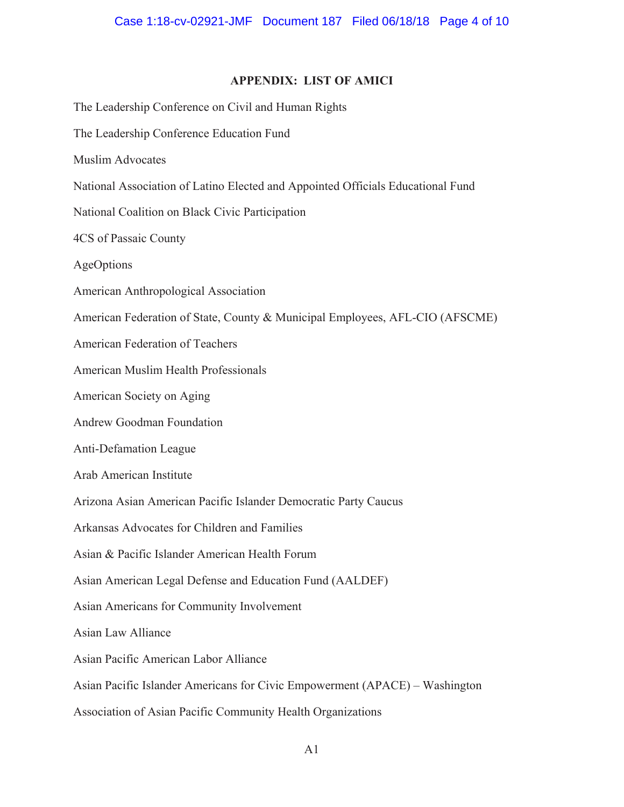# **APPENDIX: LIST OF AMICI**

The Leadership Conference on Civil and Human Rights The Leadership Conference Education Fund Muslim Advocates National Association of Latino Elected and Appointed Officials Educational Fund National Coalition on Black Civic Participation 4CS of Passaic County AgeOptions American Anthropological Association American Federation of State, County & Municipal Employees, AFL-CIO (AFSCME) American Federation of Teachers American Muslim Health Professionals American Society on Aging Andrew Goodman Foundation Anti-Defamation League Arab American Institute Arizona Asian American Pacific Islander Democratic Party Caucus Arkansas Advocates for Children and Families Asian & Pacific Islander American Health Forum Asian American Legal Defense and Education Fund (AALDEF) Asian Americans for Community Involvement Asian Law Alliance Asian Pacific American Labor Alliance Asian Pacific Islander Americans for Civic Empowerment (APACE) – Washington Association of Asian Pacific Community Health Organizations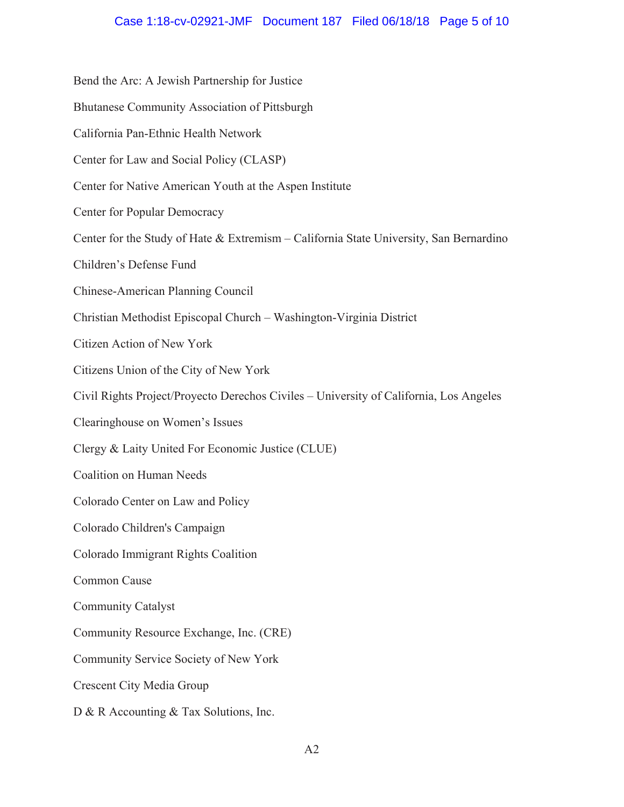## Case 1:18-cv-02921-JMF Document 187 Filed 06/18/18 Page 5 of 10

Bend the Arc: A Jewish Partnership for Justice Bhutanese Community Association of Pittsburgh California Pan-Ethnic Health Network Center for Law and Social Policy (CLASP) Center for Native American Youth at the Aspen Institute **Center for Popular Democracy** Center for the Study of Hate & Extremism – California State University, San Bernardino Children's Defense Fund Chinese-American Planning Council Christian Methodist Episcopal Church - Washington-Virginia District Citizen Action of New York Citizens Union of the City of New York Civil Rights Project/Proyecto Derechos Civiles – University of California, Los Angeles Clearinghouse on Women's Issues Clergy & Laity United For Economic Justice (CLUE) **Coalition on Human Needs** Colorado Center on Law and Policy Colorado Children's Campaign Colorado Immigrant Rights Coalition Common Cause **Community Catalyst** Community Resource Exchange, Inc. (CRE) Community Service Society of New York **Crescent City Media Group** D & R Accounting & Tax Solutions, Inc.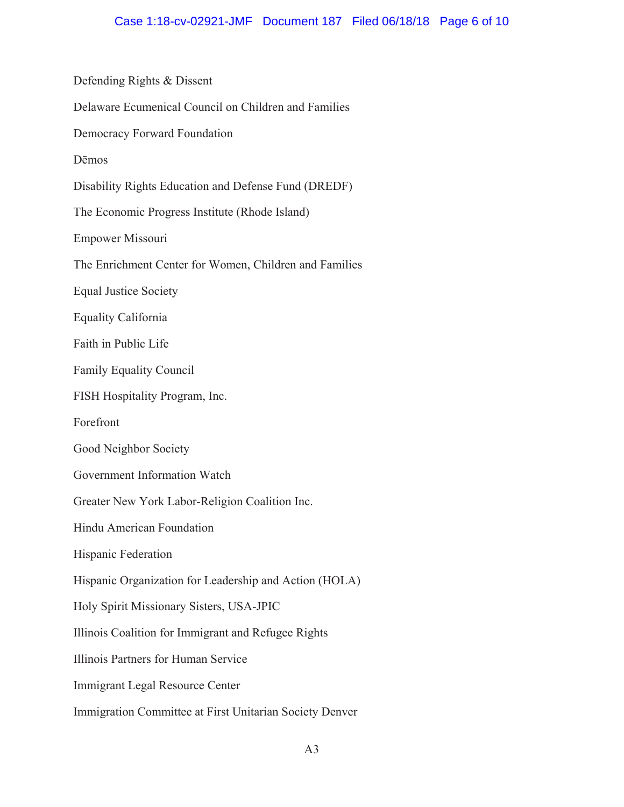Defending Rights & Dissent Delaware Ecumenical Council on Children and Families Democracy Forward Foundation Dēmos Disability Rights Education and Defense Fund (DREDF) The Economic Progress Institute (Rhode Island) Empower Missouri The Enrichment Center for Women, Children and Families **Equal Justice Society** Equality California Faith in Public Life **Family Equality Council** FISH Hospitality Program, Inc. Forefront Good Neighbor Society Government Information Watch Greater New York Labor-Religion Coalition Inc. Hindu American Foundation Hispanic Federation Hispanic Organization for Leadership and Action (HOLA) Holy Spirit Missionary Sisters, USA-JPIC Illinois Coalition for Immigrant and Refugee Rights Illinois Partners for Human Service Immigrant Legal Resource Center Immigration Committee at First Unitarian Society Denver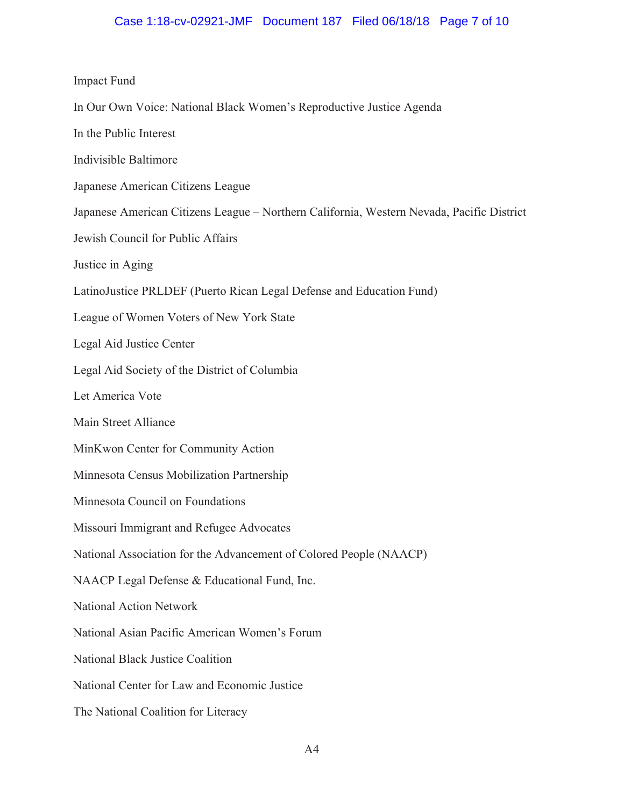## Case 1:18-cv-02921-JMF Document 187 Filed 06/18/18 Page 7 of 10

#### **Impact Fund**

- In Our Own Voice: National Black Women's Reproductive Justice Agenda
- In the Public Interest
- Indivisible Baltimore
- Japanese American Citizens League
- Japanese American Citizens League Northern California, Western Nevada, Pacific District
- Jewish Council for Public Affairs
- Justice in Aging
- LatinoJustice PRLDEF (Puerto Rican Legal Defense and Education Fund)
- League of Women Voters of New York State
- Legal Aid Justice Center
- Legal Aid Society of the District of Columbia
- Let America Vote
- Main Street Alliance
- MinKwon Center for Community Action
- Minnesota Census Mobilization Partnership
- Minnesota Council on Foundations
- Missouri Immigrant and Refugee Advocates
- National Association for the Advancement of Colored People (NAACP)
- NAACP Legal Defense & Educational Fund, Inc.
- **National Action Network**
- National Asian Pacific American Women's Forum
- National Black Justice Coalition
- National Center for Law and Economic Justice
- The National Coalition for Literacy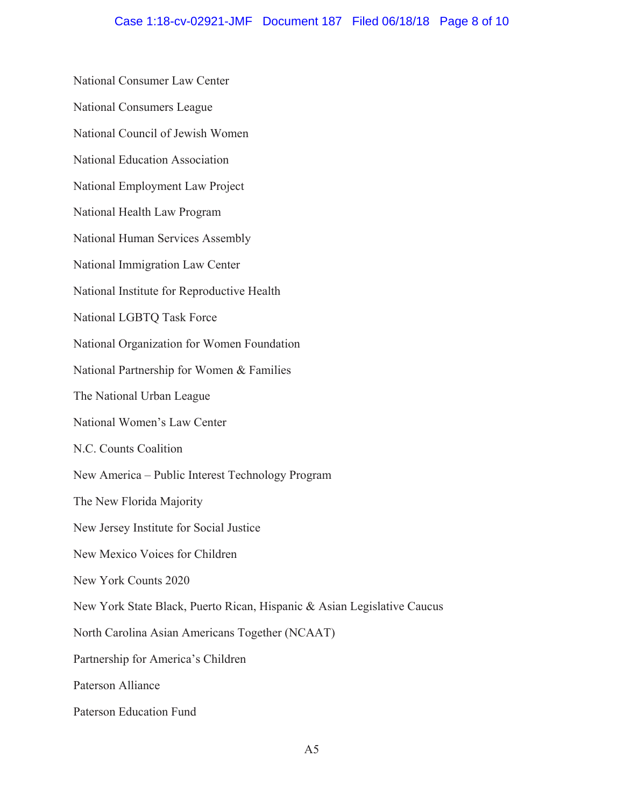National Consumer Law Center National Consumers League National Council of Jewish Women National Education Association National Employment Law Project National Health Law Program National Human Services Assembly National Immigration Law Center National Institute for Reproductive Health National LGBTQ Task Force National Organization for Women Foundation National Partnership for Women & Families The National Urban League National Women's Law Center N.C. Counts Coalition New America - Public Interest Technology Program The New Florida Majority New Jersey Institute for Social Justice New Mexico Voices for Children New York Counts 2020 New York State Black, Puerto Rican, Hispanic & Asian Legislative Caucus North Carolina Asian Americans Together (NCAAT) Partnership for America's Children Paterson Alliance Paterson Education Fund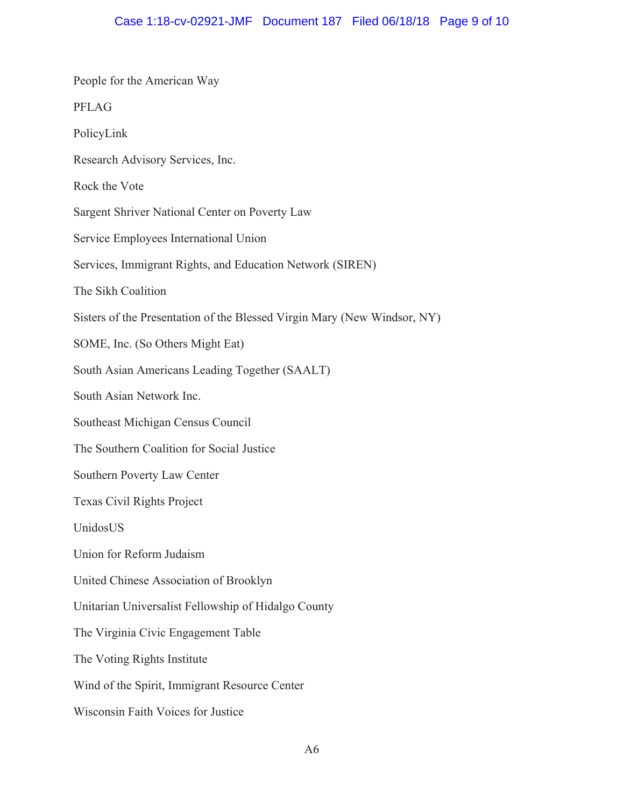| People for the American Way                                              |
|--------------------------------------------------------------------------|
| <b>PFLAG</b>                                                             |
| PolicyLink                                                               |
| Research Advisory Services, Inc.                                         |
| Rock the Vote                                                            |
| Sargent Shriver National Center on Poverty Law                           |
| Service Employees International Union                                    |
| Services, Immigrant Rights, and Education Network (SIREN)                |
| The Sikh Coalition                                                       |
| Sisters of the Presentation of the Blessed Virgin Mary (New Windsor, NY) |
| SOME, Inc. (So Others Might Eat)                                         |
| South Asian Americans Leading Together (SAALT)                           |
| South Asian Network Inc.                                                 |
| Southeast Michigan Census Council                                        |
| The Southern Coalition for Social Justice                                |
| Southern Poverty Law Center                                              |
| <b>Texas Civil Rights Project</b>                                        |
| UnidosUS                                                                 |
| Union for Reform Judaism                                                 |
| United Chinese Association of Brooklyn                                   |
| Unitarian Universalist Fellowship of Hidalgo County                      |
| The Virginia Civic Engagement Table                                      |
| The Voting Rights Institute                                              |
| Wind of the Spirit, Immigrant Resource Center                            |
| Wisconsin Faith Voices for Justice                                       |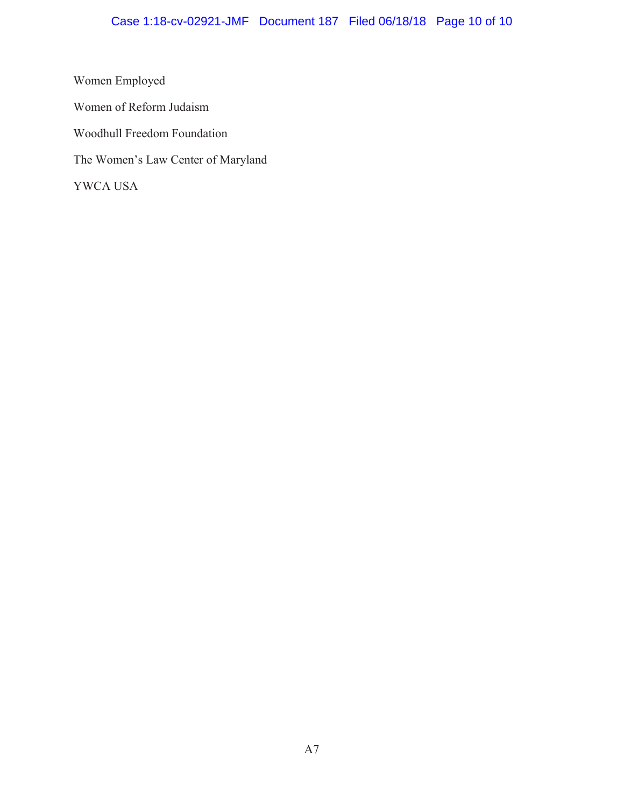# Case 1:18-cv-02921-JMF Document 187 Filed 06/18/18 Page 10 of 10

Women Employed Women of Reform Judaism Woodhull Freedom Foundation The Women's Law Center of Maryland YWCA USA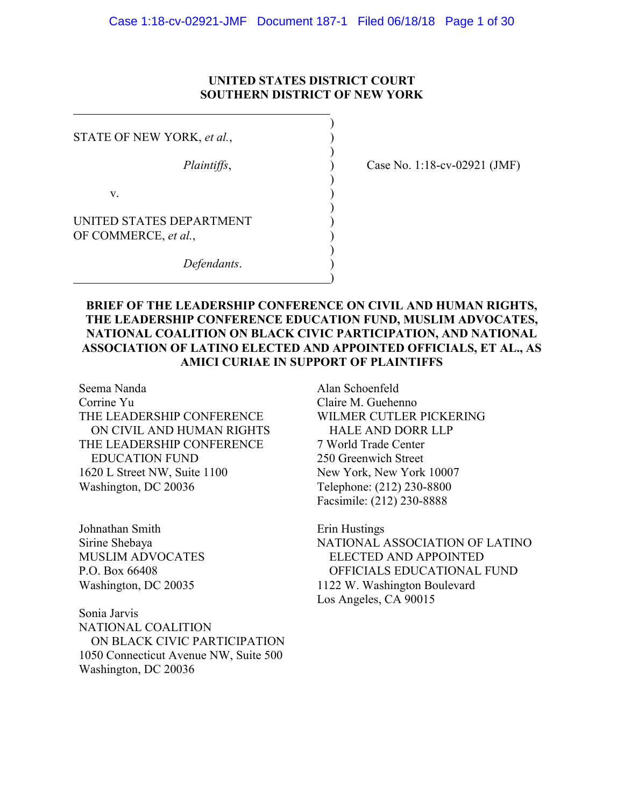## **UNITED STATES DISTRICT COURT SOUTHERN DISTRICT OF NEW YORK**

)

)

)

)

)

)

STATE OF NEW YORK, et al.,

 $\mathbf v.$  )

UNITED STATES DEPARTMENT OF COMMERCE, *et al.*,

*Defendants*. )

*Plaintiffs*,  $\qquad \qquad$  (2018) Case No. 1:18-cv-02921 (JMF)

# **BRIEF OF THE LEADERSHIP CONFERENCE ON CIVIL AND HUMAN RIGHTS, THE LEADERSHIP CONFERENCE EDUCATION FUND, MUSLIM ADVOCATES, NATIONAL COALITION ON BLACK CIVIC PARTICIPATION, AND NATIONAL ASSOCIATION OF LATINO ELECTED AND APPOINTED OFFICIALS, ET AL., AS AMICI CURIAE IN SUPPORT OF PLAINTIFFS**

Seema Nanda Corrine Yu THE LEADERSHIP CONFERENCE ON CIVIL AND HUMAN RIGHTS THE LEADERSHIP CONFERENCE EDUCATION FUND 1620 L Street NW, Suite 1100 Washington, DC 20036

Johnathan Smith Sirine Shebaya MUSLIM ADVOCATES P.O. Box 66408 Washington, DC 20035

Sonia Jarvis NATIONAL COALITION ON BLACK CIVIC PARTICIPATION 1050 Connecticut Avenue NW, Suite 500 Washington, DC 20036

Alan Schoenfeld Claire M. Guehenno WILMER CUTLER PICKERING HALE AND DORR LLP 7 World Trade Center 250 Greenwich Street New York, New York 10007 Telephone: (212) 230-8800 Facsimile: (212) 230-8888

Erin Hustings NATIONAL ASSOCIATION OF LATINO ELECTED AND APPOINTED OFFICIALS EDUCATIONAL FUND 1122 W. Washington Boulevard Los Angeles, CA 90015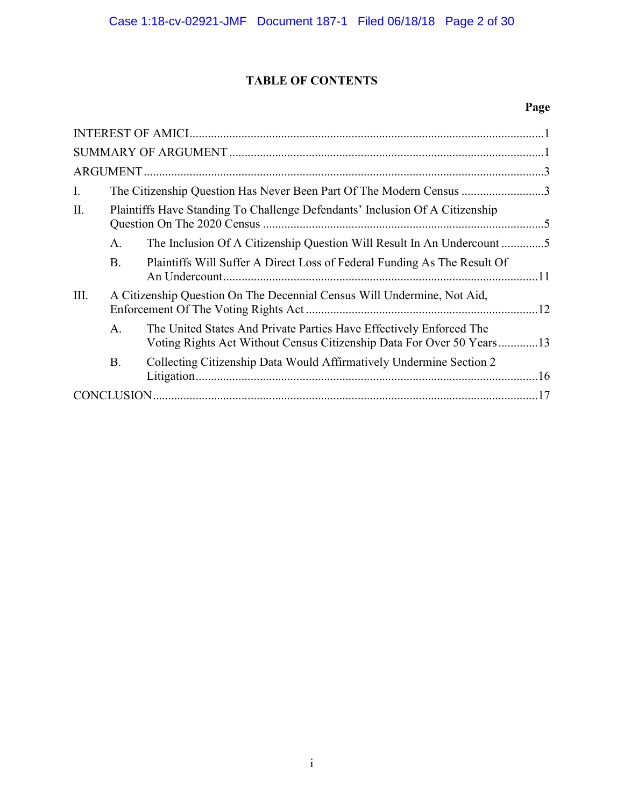# **TABLE OF CONTENTS**

# **Page**

| Ι.   |           | The Citizenship Question Has Never Been Part Of The Modern Census 3                                                                          |  |
|------|-----------|----------------------------------------------------------------------------------------------------------------------------------------------|--|
| II.  |           | Plaintiffs Have Standing To Challenge Defendants' Inclusion Of A Citizenship                                                                 |  |
|      | A.        | The Inclusion Of A Citizenship Question Will Result In An Undercount 5                                                                       |  |
|      | <b>B.</b> | Plaintiffs Will Suffer A Direct Loss of Federal Funding As The Result Of                                                                     |  |
| III. |           | A Citizenship Question On The Decennial Census Will Undermine, Not Aid,                                                                      |  |
|      | A.        | The United States And Private Parties Have Effectively Enforced The<br>Voting Rights Act Without Census Citizenship Data For Over 50 Years13 |  |
|      | <b>B.</b> | Collecting Citizenship Data Would Affirmatively Undermine Section 2                                                                          |  |
|      |           |                                                                                                                                              |  |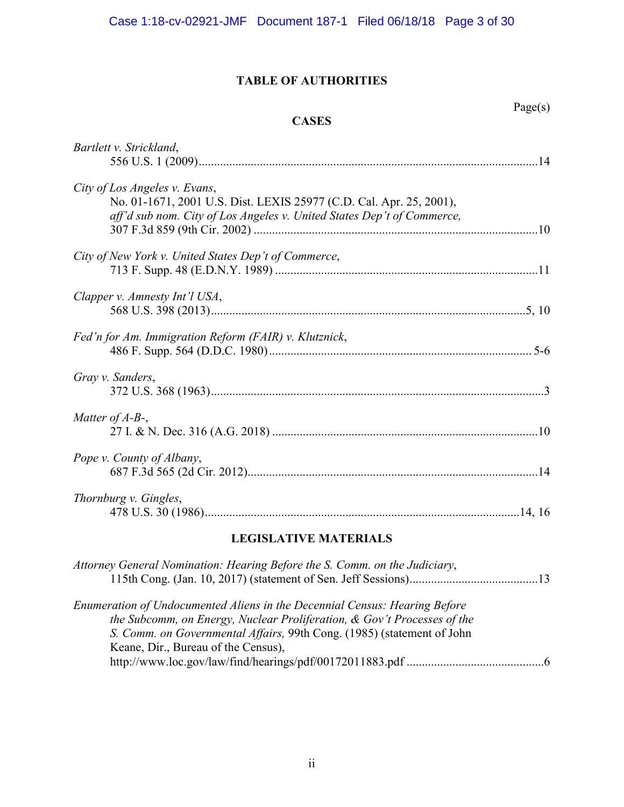# **TABLE OF AUTHORITIES**

# **CASES**

| ٠ |  |
|---|--|
|   |  |
|   |  |

| Bartlett v. Strickland,                                                |  |
|------------------------------------------------------------------------|--|
|                                                                        |  |
| City of Los Angeles v. Evans,                                          |  |
| No. 01-1671, 2001 U.S. Dist. LEXIS 25977 (C.D. Cal. Apr. 25, 2001),    |  |
| aff'd sub nom. City of Los Angeles v. United States Dep't of Commerce, |  |
|                                                                        |  |
| City of New York v. United States Dep't of Commerce,                   |  |
|                                                                        |  |
|                                                                        |  |
| Clapper v. Amnesty Int'l USA,                                          |  |
|                                                                        |  |
| Fed'n for Am. Immigration Reform (FAIR) v. Klutznick,                  |  |
|                                                                        |  |
| Gray v. Sanders,                                                       |  |
|                                                                        |  |
|                                                                        |  |
| Matter of $A$ - $B$ -,                                                 |  |
|                                                                        |  |
| Pope v. County of Albany,                                              |  |
|                                                                        |  |
| Thornburg v. Gingles,                                                  |  |
|                                                                        |  |
|                                                                        |  |

# **LEGISLATIVE MATERIALS**

| Attorney General Nomination: Hearing Before the S. Comm. on the Judiciary, |  |
|----------------------------------------------------------------------------|--|
|                                                                            |  |
| Enumeration of Undocumented Aliens in the Decennial Census: Hearing Before |  |
| the Subcomm, on Energy, Nuclear Proliferation, & Gov't Processes of the    |  |
| S. Comm. on Governmental Affairs, 99th Cong. (1985) (statement of John     |  |
| Keane, Dir., Bureau of the Census),                                        |  |
|                                                                            |  |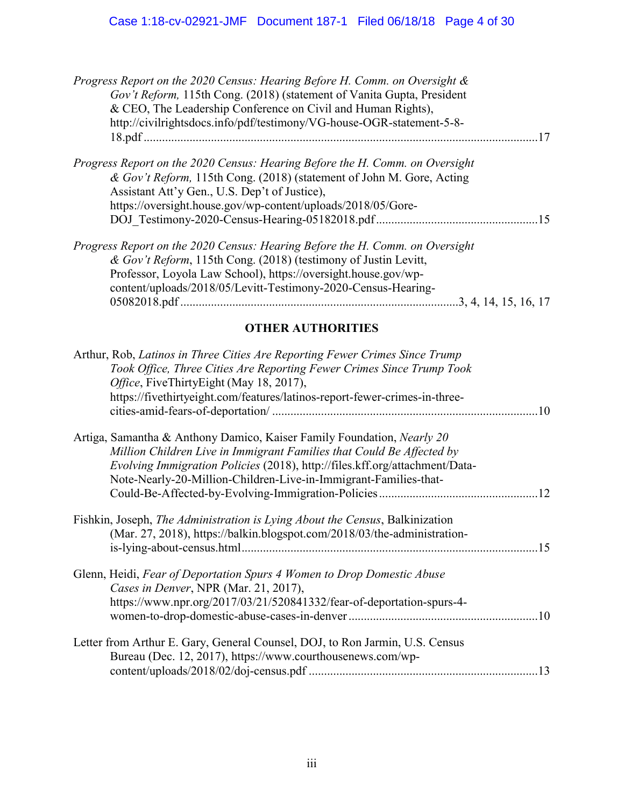| Progress Report on the 2020 Census: Hearing Before H. Comm. on Oversight &<br>Gov't Reform, 115th Cong. (2018) (statement of Vanita Gupta, President<br>& CEO, The Leadership Conference on Civil and Human Rights),<br>http://civilrightsdocs.info/pdf/testimony/VG-house-OGR-statement-5-8-                              |  |
|----------------------------------------------------------------------------------------------------------------------------------------------------------------------------------------------------------------------------------------------------------------------------------------------------------------------------|--|
| Progress Report on the 2020 Census: Hearing Before the H. Comm. on Oversight<br>& Gov't Reform, 115th Cong. (2018) (statement of John M. Gore, Acting<br>Assistant Att'y Gen., U.S. Dep't of Justice),<br>https://oversight.house.gov/wp-content/uploads/2018/05/Gore-                                                     |  |
| Progress Report on the 2020 Census: Hearing Before the H. Comm. on Oversight<br>& Gov't Reform, 115th Cong. (2018) (testimony of Justin Levitt,<br>Professor, Loyola Law School), https://oversight.house.gov/wp-<br>content/uploads/2018/05/Levitt-Testimony-2020-Census-Hearing-<br>05082018.pdf<br>3, 4, 14, 15, 16, 17 |  |

# **OTHER AUTHORITIES**

| Arthur, Rob, Latinos in Three Cities Are Reporting Fewer Crimes Since Trump<br>Took Office, Three Cities Are Reporting Fewer Crimes Since Trump Took<br>Office, FiveThirtyEight (May 18, 2017),<br>https://fivethirtyeight.com/features/latinos-report-fewer-crimes-in-three-                      |
|----------------------------------------------------------------------------------------------------------------------------------------------------------------------------------------------------------------------------------------------------------------------------------------------------|
| Artiga, Samantha & Anthony Damico, Kaiser Family Foundation, Nearly 20<br>Million Children Live in Immigrant Families that Could Be Affected by<br>Evolving Immigration Policies (2018), http://files.kff.org/attachment/Data-<br>Note-Nearly-20-Million-Children-Live-in-Immigrant-Families-that- |
| Fishkin, Joseph, The Administration is Lying About the Census, Balkinization<br>(Mar. 27, 2018), https://balkin.blogspot.com/2018/03/the-administration-                                                                                                                                           |
| Glenn, Heidi, Fear of Deportation Spurs 4 Women to Drop Domestic Abuse<br>Cases in Denver, NPR (Mar. 21, 2017),<br>https://www.npr.org/2017/03/21/520841332/fear-of-deportation-spurs-4-                                                                                                           |
| Letter from Arthur E. Gary, General Counsel, DOJ, to Ron Jarmin, U.S. Census<br>Bureau (Dec. 12, 2017), https://www.courthousenews.com/wp-                                                                                                                                                         |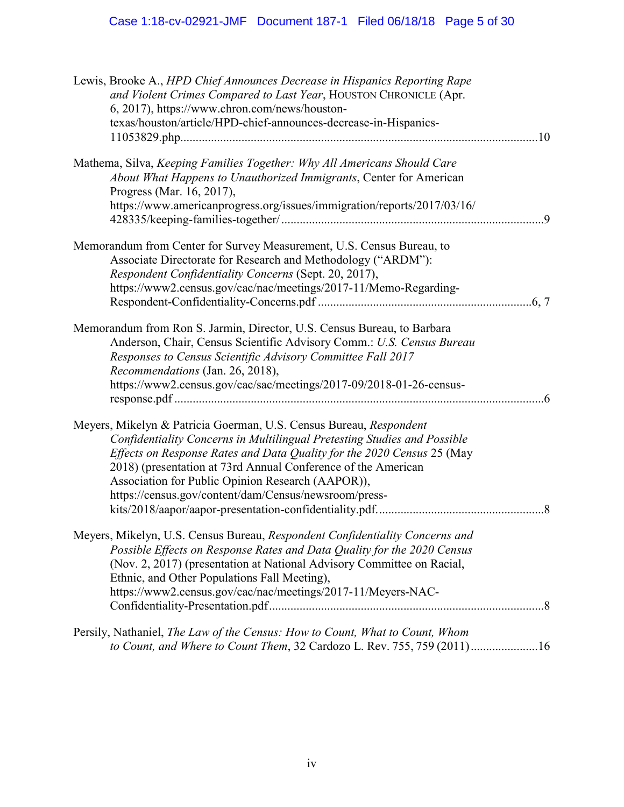| Lewis, Brooke A., HPD Chief Announces Decrease in Hispanics Reporting Rape<br>and Violent Crimes Compared to Last Year, HOUSTON CHRONICLE (Apr.<br>6, 2017), https://www.chron.com/news/houston-<br>texas/houston/article/HPD-chief-announces-decrease-in-Hispanics-                                                                                                                                    |  |
|---------------------------------------------------------------------------------------------------------------------------------------------------------------------------------------------------------------------------------------------------------------------------------------------------------------------------------------------------------------------------------------------------------|--|
| Mathema, Silva, Keeping Families Together: Why All Americans Should Care                                                                                                                                                                                                                                                                                                                                |  |
| About What Happens to Unauthorized Immigrants, Center for American<br>Progress (Mar. 16, 2017),                                                                                                                                                                                                                                                                                                         |  |
| https://www.americanprogress.org/issues/immigration/reports/2017/03/16/                                                                                                                                                                                                                                                                                                                                 |  |
| Memorandum from Center for Survey Measurement, U.S. Census Bureau, to<br>Associate Directorate for Research and Methodology ("ARDM"):<br>Respondent Confidentiality Concerns (Sept. 20, 2017),<br>https://www2.census.gov/cac/nac/meetings/2017-11/Memo-Regarding-                                                                                                                                      |  |
|                                                                                                                                                                                                                                                                                                                                                                                                         |  |
| Memorandum from Ron S. Jarmin, Director, U.S. Census Bureau, to Barbara<br>Anderson, Chair, Census Scientific Advisory Comm.: U.S. Census Bureau<br>Responses to Census Scientific Advisory Committee Fall 2017<br>Recommendations (Jan. 26, 2018),<br>https://www2.census.gov/cac/sac/meetings/2017-09/2018-01-26-census-                                                                              |  |
|                                                                                                                                                                                                                                                                                                                                                                                                         |  |
| Meyers, Mikelyn & Patricia Goerman, U.S. Census Bureau, Respondent<br>Confidentiality Concerns in Multilingual Pretesting Studies and Possible<br>Effects on Response Rates and Data Quality for the 2020 Census 25 (May<br>2018) (presentation at 73rd Annual Conference of the American<br>Association for Public Opinion Research (AAPOR)),<br>https://census.gov/content/dam/Census/newsroom/press- |  |
| Meyers, Mikelyn, U.S. Census Bureau, Respondent Confidentiality Concerns and<br>Possible Effects on Response Rates and Data Quality for the 2020 Census<br>(Nov. 2, 2017) (presentation at National Advisory Committee on Racial,<br>Ethnic, and Other Populations Fall Meeting),<br>https://www2.census.gov/cac/nac/meetings/2017-11/Meyers-NAC-                                                       |  |
| Persily, Nathaniel, The Law of the Census: How to Count, What to Count, Whom<br>to Count, and Where to Count Them, 32 Cardozo L. Rev. 755, 759 (2011)16                                                                                                                                                                                                                                                 |  |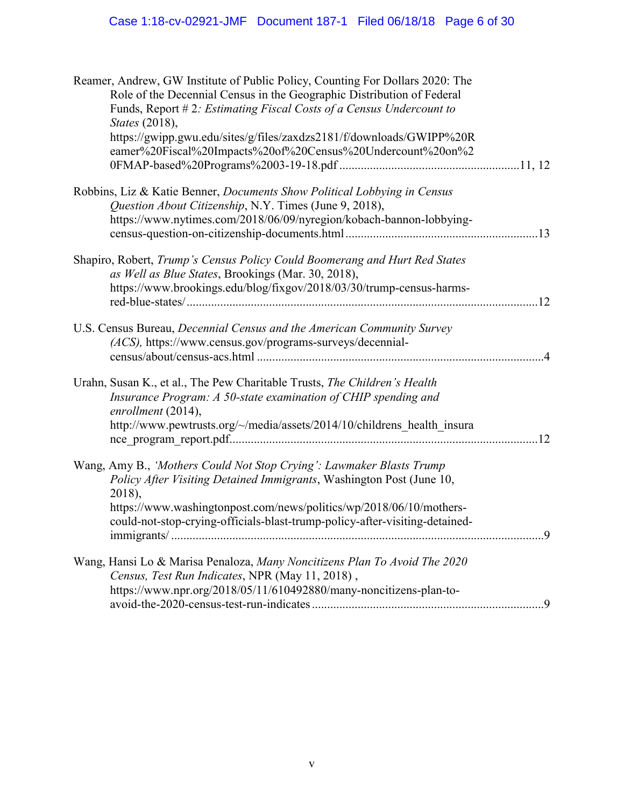| Reamer, Andrew, GW Institute of Public Policy, Counting For Dollars 2020: The<br>Role of the Decennial Census in the Geographic Distribution of Federal<br>Funds, Report #2: Estimating Fiscal Costs of a Census Undercount to<br><i>States</i> (2018),                                                      |  |
|--------------------------------------------------------------------------------------------------------------------------------------------------------------------------------------------------------------------------------------------------------------------------------------------------------------|--|
| https://gwipp.gwu.edu/sites/g/files/zaxdzs2181/f/downloads/GWIPP%20R<br>eamer%20Fiscal%20Impacts%20of%20Census%20Undercount%20on%2                                                                                                                                                                           |  |
| Robbins, Liz & Katie Benner, <i>Documents Show Political Lobbying in Census</i><br>Question About Citizenship, N.Y. Times (June 9, 2018),                                                                                                                                                                    |  |
| https://www.nytimes.com/2018/06/09/nyregion/kobach-bannon-lobbying-                                                                                                                                                                                                                                          |  |
| Shapiro, Robert, Trump's Census Policy Could Boomerang and Hurt Red States<br>as Well as Blue States, Brookings (Mar. 30, 2018),                                                                                                                                                                             |  |
| https://www.brookings.edu/blog/fixgov/2018/03/30/trump-census-harms-                                                                                                                                                                                                                                         |  |
| U.S. Census Bureau, Decennial Census and the American Community Survey<br>(ACS), https://www.census.gov/programs-surveys/decennial-                                                                                                                                                                          |  |
| Urahn, Susan K., et al., The Pew Charitable Trusts, The Children's Health<br>Insurance Program: A 50-state examination of CHIP spending and<br>enrollment (2014),<br>http://www.pewtrusts.org/~/media/assets/2014/10/childrens_health_insura                                                                 |  |
| Wang, Amy B., 'Mothers Could Not Stop Crying': Lawmaker Blasts Trump<br>Policy After Visiting Detained Immigrants, Washington Post (June 10,<br>2018),<br>https://www.washingtonpost.com/news/politics/wp/2018/06/10/mothers-<br>could-not-stop-crying-officials-blast-trump-policy-after-visiting-detained- |  |
| Wang, Hansi Lo & Marisa Penaloza, Many Noncitizens Plan To Avoid The 2020<br>Census, Test Run Indicates, NPR (May 11, 2018),                                                                                                                                                                                 |  |
| https://www.npr.org/2018/05/11/610492880/many-noncitizens-plan-to-                                                                                                                                                                                                                                           |  |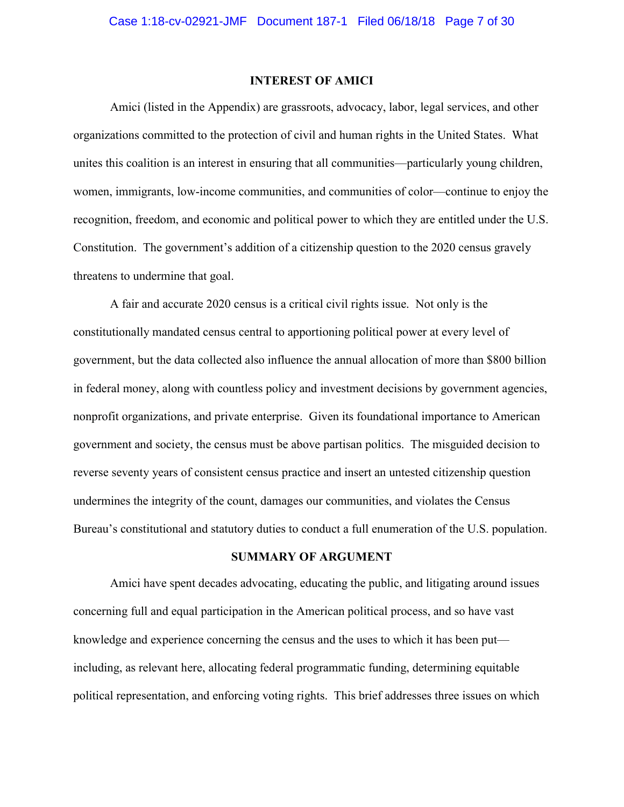### **INTEREST OF AMICI**

Amici (listed in the Appendix) are grassroots, advocacy, labor, legal services, and other organizations committed to the protection of civil and human rights in the United States. What unites this coalition is an interest in ensuring that all communities—particularly young children, women, immigrants, low-income communities, and communities of color—continue to enjoy the recognition, freedom, and economic and political power to which they are entitled under the U.S. Constitution. The government's addition of a citizenship question to the 2020 census gravely threatens to undermine that goal.

A fair and accurate 2020 census is a critical civil rights issue. Not only is the constitutionally mandated census central to apportioning political power at every level of government, but the data collected also influence the annual allocation of more than \$800 billion in federal money, along with countless policy and investment decisions by government agencies, nonprofit organizations, and private enterprise. Given its foundational importance to American government and society, the census must be above partisan politics. The misguided decision to reverse seventy years of consistent census practice and insert an untested citizenship question undermines the integrity of the count, damages our communities, and violates the Census Bureau's constitutional and statutory duties to conduct a full enumeration of the U.S. population.

## **SUMMARY OF ARGUMENT**

Amici have spent decades advocating, educating the public, and litigating around issues concerning full and equal participation in the American political process, and so have vast knowledge and experience concerning the census and the uses to which it has been put including, as relevant here, allocating federal programmatic funding, determining equitable political representation, and enforcing voting rights. This brief addresses three issues on which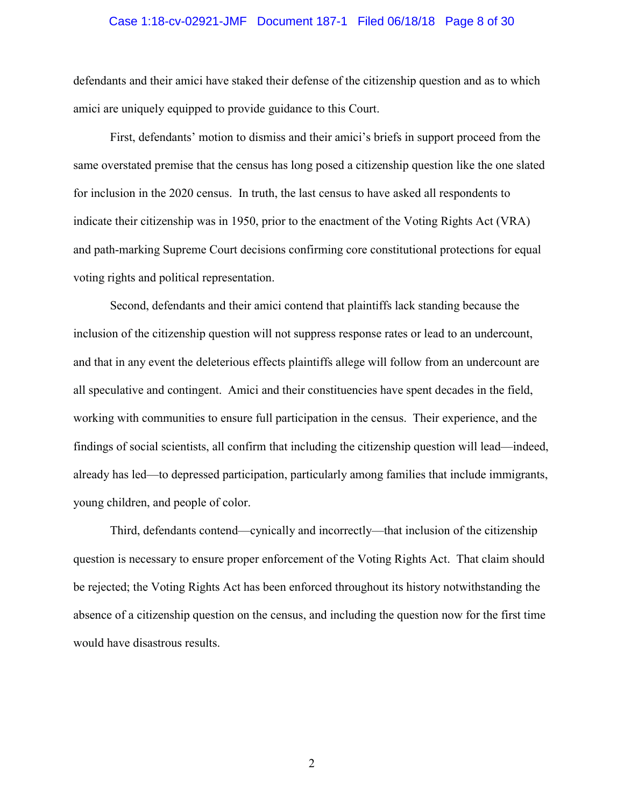# Case 1:18-cv-02921-JMF Document 187-1 Filed 06/18/18 Page 8 of 30

defendants and their amici have staked their defense of the citizenship question and as to which amici are uniquely equipped to provide guidance to this Court.

First, defendants' motion to dismiss and their amici's briefs in support proceed from the same overstated premise that the census has long posed a citizenship question like the one slated for inclusion in the 2020 census. In truth, the last census to have asked all respondents to indicate their citizenship was in 1950, prior to the enactment of the Voting Rights Act (VRA) and path-marking Supreme Court decisions confirming core constitutional protections for equal voting rights and political representation.

Second, defendants and their amici contend that plaintiffs lack standing because the inclusion of the citizenship question will not suppress response rates or lead to an undercount, and that in any event the deleterious effects plaintiffs allege will follow from an undercount are all speculative and contingent. Amici and their constituencies have spent decades in the field, working with communities to ensure full participation in the census. Their experience, and the findings of social scientists, all confirm that including the citizenship question will lead—indeed, already has led—to depressed participation, particularly among families that include immigrants, young children, and people of color.

Third, defendants contend—cynically and incorrectly—that inclusion of the citizenship question is necessary to ensure proper enforcement of the Voting Rights Act. That claim should be rejected; the Voting Rights Act has been enforced throughout its history notwithstanding the absence of a citizenship question on the census, and including the question now for the first time would have disastrous results.

2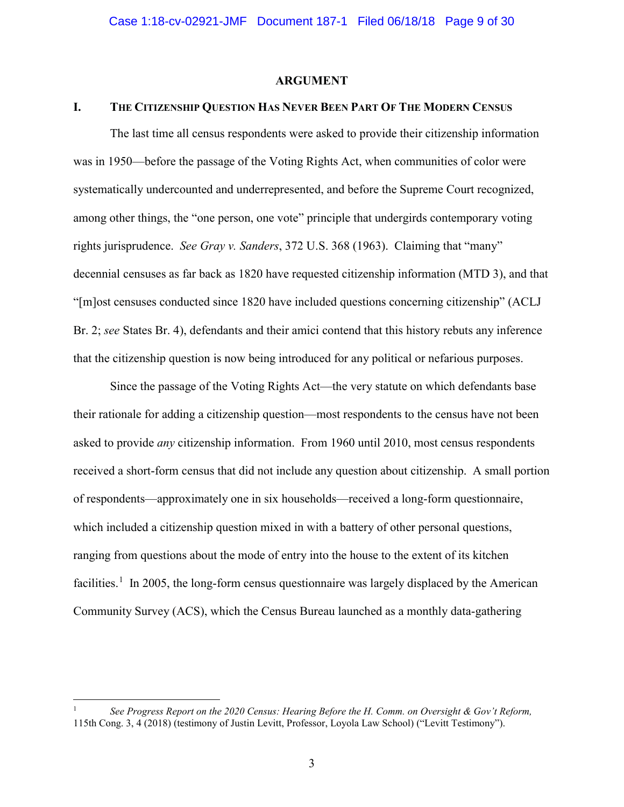#### **ARGUMENT**

#### **I. THE CITIZENSHIP QUESTION HAS NEVER BEEN PART OF THE MODERN CENSUS**

The last time all census respondents were asked to provide their citizenship information was in 1950—before the passage of the Voting Rights Act, when communities of color were systematically undercounted and underrepresented, and before the Supreme Court recognized, among other things, the "one person, one vote" principle that undergirds contemporary voting rights jurisprudence. *See Gray v. Sanders*, 372 U.S. 368 (1963). Claiming that "many" decennial censuses as far back as 1820 have requested citizenship information (MTD 3), and that "[m]ost censuses conducted since 1820 have included questions concerning citizenship" (ACLJ Br. 2; *see* States Br. 4), defendants and their amici contend that this history rebuts any inference that the citizenship question is now being introduced for any political or nefarious purposes.

Since the passage of the Voting Rights Act—the very statute on which defendants base their rationale for adding a citizenship question—most respondents to the census have not been asked to provide *any* citizenship information. From 1960 until 2010, most census respondents received a short-form census that did not include any question about citizenship. A small portion of respondents—approximately one in six households—received a long-form questionnaire, which included a citizenship question mixed in with a battery of other personal questions, ranging from questions about the mode of entry into the house to the extent of its kitchen facilities.<sup>1</sup> In 2005, the long-form census questionnaire was largely displaced by the American Community Survey (ACS), which the Census Bureau launched as a monthly data-gathering

<sup>1</sup> *See Progress Report on the 2020 Census: Hearing Before the H. Comm. on Oversight & Gov't Reform,* 115th Cong. 3, 4 (2018) (testimony of Justin Levitt, Professor, Loyola Law School) ("Levitt Testimony").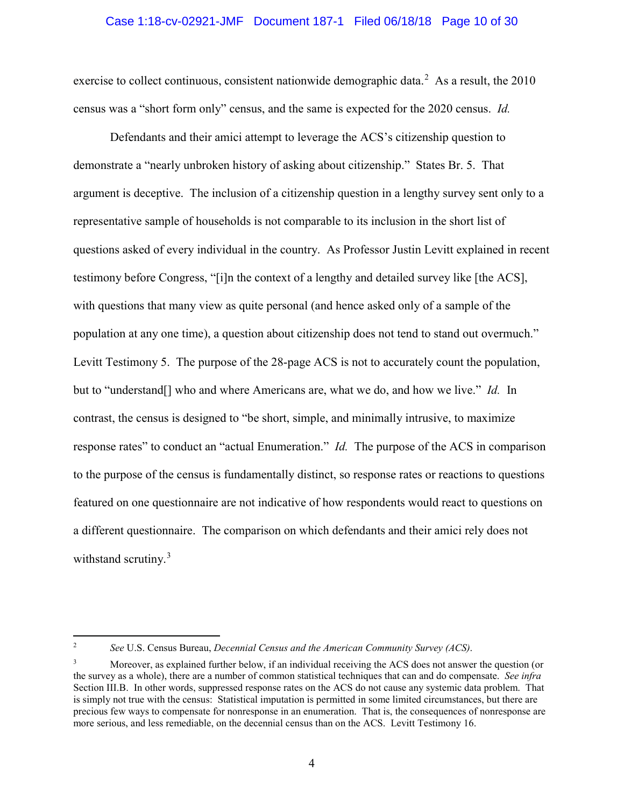#### Case 1:18-cv-02921-JMF Document 187-1 Filed 06/18/18 Page 10 of 30

exercise to collect continuous, consistent nationwide demographic data.<sup>2</sup> As a result, the  $2010$ census was a "short form only" census, and the same is expected for the 2020 census. *Id.* 

Defendants and their amici attempt to leverage the ACS's citizenship question to demonstrate a "nearly unbroken history of asking about citizenship." States Br. 5. That argument is deceptive. The inclusion of a citizenship question in a lengthy survey sent only to a representative sample of households is not comparable to its inclusion in the short list of questions asked of every individual in the country. As Professor Justin Levitt explained in recent testimony before Congress, "[i]n the context of a lengthy and detailed survey like [the ACS], with questions that many view as quite personal (and hence asked only of a sample of the population at any one time), a question about citizenship does not tend to stand out overmuch." Levitt Testimony 5. The purpose of the 28-page ACS is not to accurately count the population, but to "understand[] who and where Americans are, what we do, and how we live." *Id.* In contrast, the census is designed to "be short, simple, and minimally intrusive, to maximize response rates" to conduct an "actual Enumeration." *Id.* The purpose of the ACS in comparison to the purpose of the census is fundamentally distinct, so response rates or reactions to questions featured on one questionnaire are not indicative of how respondents would react to questions on a different questionnaire. The comparison on which defendants and their amici rely does not withstand scrutiny.<sup>3</sup>

<sup>2</sup> *See* U.S. Census Bureau, *Decennial Census and the American Community Survey (ACS)*.

<sup>3</sup> Moreover, as explained further below, if an individual receiving the ACS does not answer the question (or the survey as a whole), there are a number of common statistical techniques that can and do compensate. *See infra*  Section III.B. In other words, suppressed response rates on the ACS do not cause any systemic data problem. That is simply not true with the census: Statistical imputation is permitted in some limited circumstances, but there are precious few ways to compensate for nonresponse in an enumeration. That is, the consequences of nonresponse are more serious, and less remediable, on the decennial census than on the ACS. Levitt Testimony 16.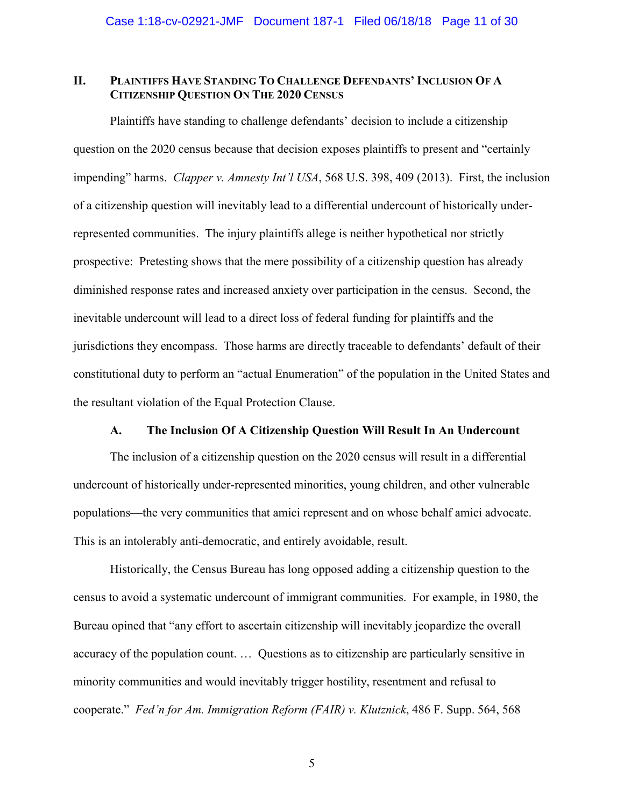# **II. PLAINTIFFS HAVE STANDING TO CHALLENGE DEFENDANTS' INCLUSION OF A CITIZENSHIP QUESTION ON THE 2020 CENSUS**

Plaintiffs have standing to challenge defendants' decision to include a citizenship question on the 2020 census because that decision exposes plaintiffs to present and "certainly impending" harms. *Clapper v. Amnesty Int'l USA*, 568 U.S. 398, 409 (2013). First, the inclusion of a citizenship question will inevitably lead to a differential undercount of historically underrepresented communities. The injury plaintiffs allege is neither hypothetical nor strictly prospective: Pretesting shows that the mere possibility of a citizenship question has already diminished response rates and increased anxiety over participation in the census. Second, the inevitable undercount will lead to a direct loss of federal funding for plaintiffs and the jurisdictions they encompass. Those harms are directly traceable to defendants' default of their constitutional duty to perform an "actual Enumeration" of the population in the United States and the resultant violation of the Equal Protection Clause.

#### **A. The Inclusion Of A Citizenship Question Will Result In An Undercount**

The inclusion of a citizenship question on the 2020 census will result in a differential undercount of historically under-represented minorities, young children, and other vulnerable populations—the very communities that amici represent and on whose behalf amici advocate. This is an intolerably anti-democratic, and entirely avoidable, result.

Historically, the Census Bureau has long opposed adding a citizenship question to the census to avoid a systematic undercount of immigrant communities. For example, in 1980, the Bureau opined that "any effort to ascertain citizenship will inevitably jeopardize the overall accuracy of the population count. … Questions as to citizenship are particularly sensitive in minority communities and would inevitably trigger hostility, resentment and refusal to cooperate." *Fed'n for Am. Immigration Reform (FAIR) v. Klutznick*, 486 F. Supp. 564, 568

5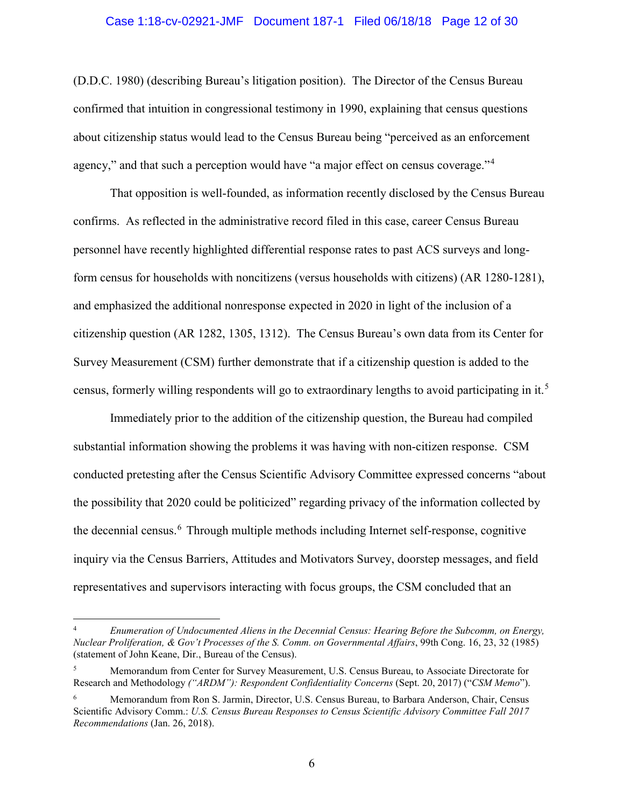#### Case 1:18-cv-02921-JMF Document 187-1 Filed 06/18/18 Page 12 of 30

(D.D.C. 1980) (describing Bureau's litigation position). The Director of the Census Bureau confirmed that intuition in congressional testimony in 1990, explaining that census questions about citizenship status would lead to the Census Bureau being "perceived as an enforcement agency," and that such a perception would have "a major effect on census coverage."<sup>4</sup>

That opposition is well-founded, as information recently disclosed by the Census Bureau confirms. As reflected in the administrative record filed in this case, career Census Bureau personnel have recently highlighted differential response rates to past ACS surveys and longform census for households with noncitizens (versus households with citizens) (AR 1280-1281), and emphasized the additional nonresponse expected in 2020 in light of the inclusion of a citizenship question (AR 1282, 1305, 1312). The Census Bureau's own data from its Center for Survey Measurement (CSM) further demonstrate that if a citizenship question is added to the census, formerly willing respondents will go to extraordinary lengths to avoid participating in it.<sup>5</sup>

Immediately prior to the addition of the citizenship question, the Bureau had compiled substantial information showing the problems it was having with non-citizen response. CSM conducted pretesting after the Census Scientific Advisory Committee expressed concerns "about the possibility that 2020 could be politicized" regarding privacy of the information collected by the decennial census.<sup>6</sup> Through multiple methods including Internet self-response, cognitive inquiry via the Census Barriers, Attitudes and Motivators Survey, doorstep messages, and field representatives and supervisors interacting with focus groups, the CSM concluded that an

<sup>4</sup> *Enumeration of Undocumented Aliens in the Decennial Census: Hearing Before the Subcomm, on Energy, Nuclear Proliferation, & Gov't Processes of the S. Comm. on Governmental Affairs*, 99th Cong. 16, 23, 32 (1985) (statement of John Keane, Dir., Bureau of the Census).

<sup>5</sup> Memorandum from Center for Survey Measurement, U.S. Census Bureau, to Associate Directorate for Research and Methodology *("ARDM"): Respondent Confidentiality Concerns* (Sept. 20, 2017) ("*CSM Memo*").

<sup>6</sup> Memorandum from Ron S. Jarmin, Director, U.S. Census Bureau, to Barbara Anderson, Chair, Census Scientific Advisory Comm.: *U.S. Census Bureau Responses to Census Scientific Advisory Committee Fall 2017 Recommendations* (Jan. 26, 2018).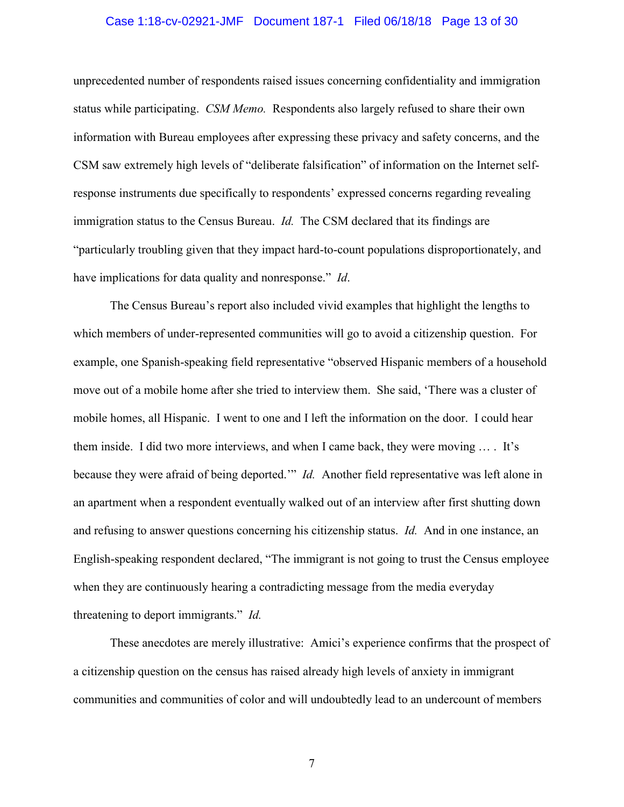#### Case 1:18-cv-02921-JMF Document 187-1 Filed 06/18/18 Page 13 of 30

unprecedented number of respondents raised issues concerning confidentiality and immigration status while participating. *CSM Memo.* Respondents also largely refused to share their own information with Bureau employees after expressing these privacy and safety concerns, and the CSM saw extremely high levels of "deliberate falsification" of information on the Internet selfresponse instruments due specifically to respondents' expressed concerns regarding revealing immigration status to the Census Bureau. *Id.* The CSM declared that its findings are "particularly troubling given that they impact hard-to-count populations disproportionately, and have implications for data quality and nonresponse." *Id*.

The Census Bureau's report also included vivid examples that highlight the lengths to which members of under-represented communities will go to avoid a citizenship question. For example, one Spanish-speaking field representative "observed Hispanic members of a household move out of a mobile home after she tried to interview them. She said, 'There was a cluster of mobile homes, all Hispanic. I went to one and I left the information on the door. I could hear them inside. I did two more interviews, and when I came back, they were moving … . It's because they were afraid of being deported.'" *Id.* Another field representative was left alone in an apartment when a respondent eventually walked out of an interview after first shutting down and refusing to answer questions concerning his citizenship status. *Id.* And in one instance, an English-speaking respondent declared, "The immigrant is not going to trust the Census employee when they are continuously hearing a contradicting message from the media everyday threatening to deport immigrants." *Id.*

These anecdotes are merely illustrative: Amici's experience confirms that the prospect of a citizenship question on the census has raised already high levels of anxiety in immigrant communities and communities of color and will undoubtedly lead to an undercount of members

7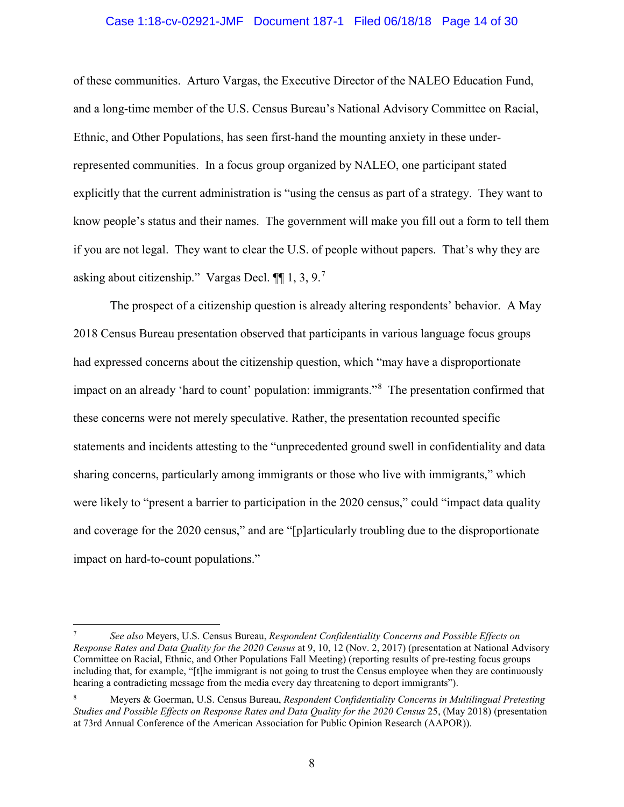#### Case 1:18-cv-02921-JMF Document 187-1 Filed 06/18/18 Page 14 of 30

of these communities. Arturo Vargas, the Executive Director of the NALEO Education Fund, and a long-time member of the U.S. Census Bureau's National Advisory Committee on Racial, Ethnic, and Other Populations, has seen first-hand the mounting anxiety in these underrepresented communities. In a focus group organized by NALEO, one participant stated explicitly that the current administration is "using the census as part of a strategy. They want to know people's status and their names. The government will make you fill out a form to tell them if you are not legal. They want to clear the U.S. of people without papers. That's why they are asking about citizenship." Vargas Decl.  $\P\P$  1, 3, 9.<sup>7</sup>

The prospect of a citizenship question is already altering respondents' behavior. A May 2018 Census Bureau presentation observed that participants in various language focus groups had expressed concerns about the citizenship question, which "may have a disproportionate impact on an already 'hard to count' population: immigrants."<sup>8</sup> The presentation confirmed that these concerns were not merely speculative. Rather, the presentation recounted specific statements and incidents attesting to the "unprecedented ground swell in confidentiality and data sharing concerns, particularly among immigrants or those who live with immigrants," which were likely to "present a barrier to participation in the 2020 census," could "impact data quality and coverage for the 2020 census," and are "[p]articularly troubling due to the disproportionate impact on hard-to-count populations."

<sup>7</sup> *See also* Meyers, U.S. Census Bureau, *Respondent Confidentiality Concerns and Possible Effects on Response Rates and Data Quality for the 2020 Census* at 9, 10, 12 (Nov. 2, 2017) (presentation at National Advisory Committee on Racial, Ethnic, and Other Populations Fall Meeting) (reporting results of pre-testing focus groups including that, for example, "[t]he immigrant is not going to trust the Census employee when they are continuously hearing a contradicting message from the media every day threatening to deport immigrants").

<sup>8</sup> Meyers & Goerman, U.S. Census Bureau, *Respondent Confidentiality Concerns in Multilingual Pretesting Studies and Possible Effects on Response Rates and Data Quality for the 2020 Census* 25, (May 2018) (presentation at 73rd Annual Conference of the American Association for Public Opinion Research (AAPOR)).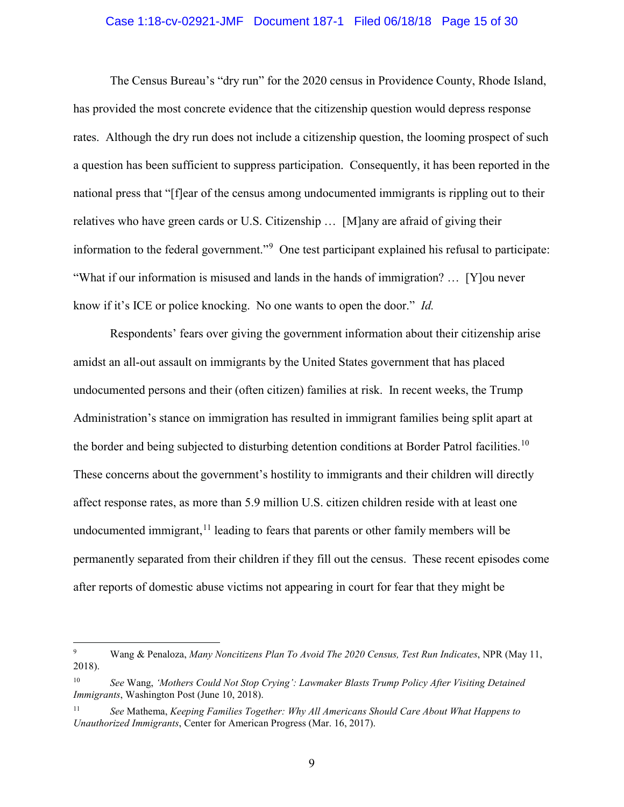#### Case 1:18-cv-02921-JMF Document 187-1 Filed 06/18/18 Page 15 of 30

The Census Bureau's "dry run" for the 2020 census in Providence County, Rhode Island, has provided the most concrete evidence that the citizenship question would depress response rates. Although the dry run does not include a citizenship question, the looming prospect of such a question has been sufficient to suppress participation. Consequently, it has been reported in the national press that "[f]ear of the census among undocumented immigrants is rippling out to their relatives who have green cards or U.S. Citizenship … [M]any are afraid of giving their information to the federal government."<sup>9</sup> One test participant explained his refusal to participate: "What if our information is misused and lands in the hands of immigration? … [Y]ou never know if it's ICE or police knocking. No one wants to open the door." *Id.*

Respondents' fears over giving the government information about their citizenship arise amidst an all-out assault on immigrants by the United States government that has placed undocumented persons and their (often citizen) families at risk. In recent weeks, the Trump Administration's stance on immigration has resulted in immigrant families being split apart at the border and being subjected to disturbing detention conditions at Border Patrol facilities.<sup>10</sup> These concerns about the government's hostility to immigrants and their children will directly affect response rates, as more than 5.9 million U.S. citizen children reside with at least one undocumented immigrant,  $11$  leading to fears that parents or other family members will be permanently separated from their children if they fill out the census. These recent episodes come after reports of domestic abuse victims not appearing in court for fear that they might be

<sup>9</sup> Wang & Penaloza, *Many Noncitizens Plan To Avoid The 2020 Census, Test Run Indicates*, NPR (May 11, 2018).

<sup>10</sup> *See* Wang, *'Mothers Could Not Stop Crying': Lawmaker Blasts Trump Policy After Visiting Detained Immigrants*, Washington Post (June 10, 2018).

<sup>11</sup> *See* Mathema, *Keeping Families Together: Why All Americans Should Care About What Happens to Unauthorized Immigrants*, Center for American Progress (Mar. 16, 2017).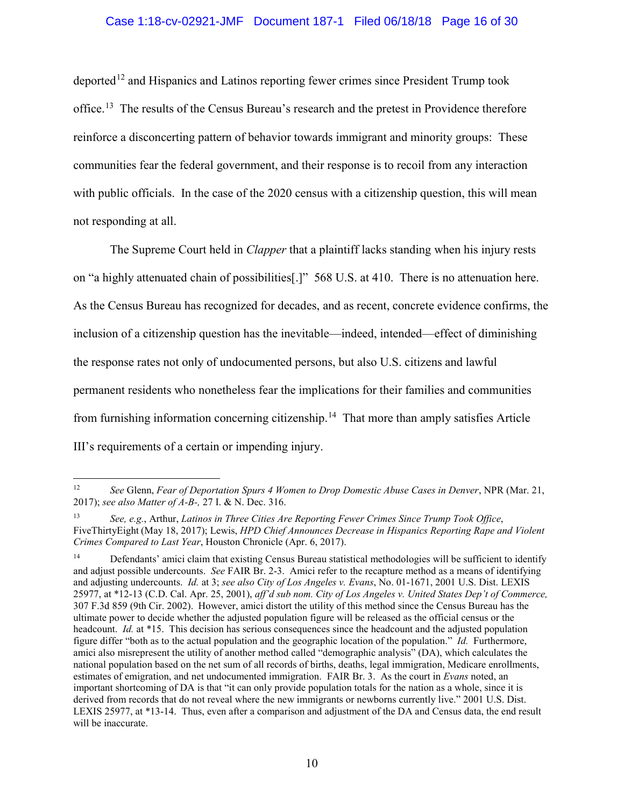### Case 1:18-cv-02921-JMF Document 187-1 Filed 06/18/18 Page 16 of 30

deported<sup>12</sup> and Hispanics and Latinos reporting fewer crimes since President Trump took office.<sup>13</sup> The results of the Census Bureau's research and the pretest in Providence therefore reinforce a disconcerting pattern of behavior towards immigrant and minority groups: These communities fear the federal government, and their response is to recoil from any interaction with public officials. In the case of the 2020 census with a citizenship question, this will mean not responding at all.

The Supreme Court held in *Clapper* that a plaintiff lacks standing when his injury rests on "a highly attenuated chain of possibilities[.]" 568 U.S. at 410. There is no attenuation here. As the Census Bureau has recognized for decades, and as recent, concrete evidence confirms, the inclusion of a citizenship question has the inevitable—indeed, intended—effect of diminishing the response rates not only of undocumented persons, but also U.S. citizens and lawful permanent residents who nonetheless fear the implications for their families and communities from furnishing information concerning citizenship.<sup>14</sup> That more than amply satisfies Article III's requirements of a certain or impending injury.

<sup>12</sup> *See* Glenn, *Fear of Deportation Spurs 4 Women to Drop Domestic Abuse Cases in Denver*, NPR (Mar. 21, 2017); *see also Matter of A-B-,* 27 I. & N. Dec. 316.

<sup>13</sup> *See, e.g.*, Arthur, *Latinos in Three Cities Are Reporting Fewer Crimes Since Trump Took Office*, FiveThirtyEight (May 18, 2017); Lewis, *HPD Chief Announces Decrease in Hispanics Reporting Rape and Violent Crimes Compared to Last Year*, Houston Chronicle (Apr. 6, 2017).

<sup>&</sup>lt;sup>14</sup> Defendants' amici claim that existing Census Bureau statistical methodologies will be sufficient to identify and adjust possible undercounts. *See* FAIR Br. 2-3. Amici refer to the recapture method as a means of identifying and adjusting undercounts. *Id.* at 3; *see also City of Los Angeles v. Evans*, No. 01-1671, 2001 U.S. Dist. LEXIS 25977, at \*12-13 (C.D. Cal. Apr. 25, 2001), *aff'd sub nom. City of Los Angeles v. United States Dep't of Commerce,*  307 F.3d 859 (9th Cir. 2002). However, amici distort the utility of this method since the Census Bureau has the ultimate power to decide whether the adjusted population figure will be released as the official census or the headcount. *Id.* at \*15. This decision has serious consequences since the headcount and the adjusted population figure differ "both as to the actual population and the geographic location of the population." *Id.* Furthermore, amici also misrepresent the utility of another method called "demographic analysis" (DA), which calculates the national population based on the net sum of all records of births, deaths, legal immigration, Medicare enrollments, estimates of emigration, and net undocumented immigration. FAIR Br. 3. As the court in *Evans* noted, an important shortcoming of DA is that "it can only provide population totals for the nation as a whole, since it is derived from records that do not reveal where the new immigrants or newborns currently live." 2001 U.S. Dist. LEXIS 25977, at \*13-14. Thus, even after a comparison and adjustment of the DA and Census data, the end result will be inaccurate.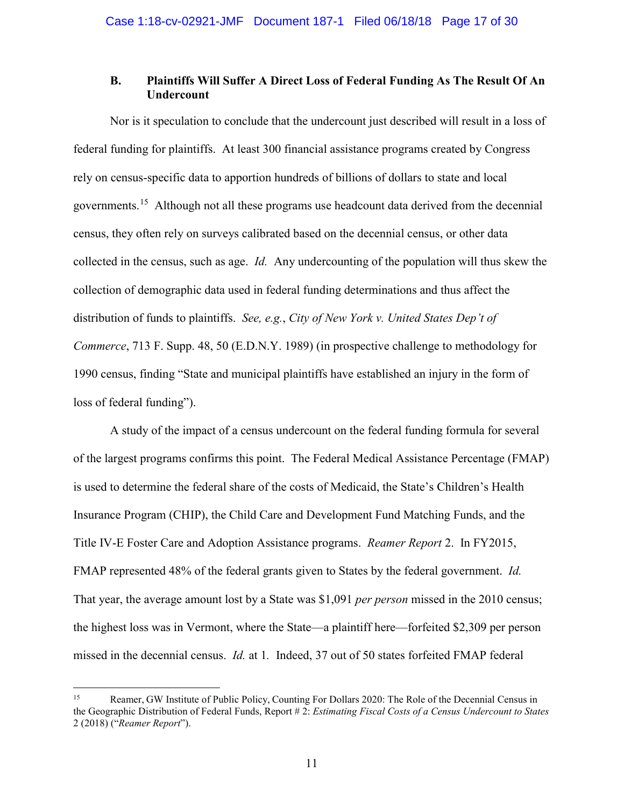# **B. Plaintiffs Will Suffer A Direct Loss of Federal Funding As The Result Of An Undercount**

Nor is it speculation to conclude that the undercount just described will result in a loss of federal funding for plaintiffs. At least 300 financial assistance programs created by Congress rely on census-specific data to apportion hundreds of billions of dollars to state and local governments.<sup>15</sup> Although not all these programs use headcount data derived from the decennial census, they often rely on surveys calibrated based on the decennial census, or other data collected in the census, such as age. *Id.* Any undercounting of the population will thus skew the collection of demographic data used in federal funding determinations and thus affect the distribution of funds to plaintiffs. *See, e.g.*, *City of New York v. United States Dep't of Commerce*, 713 F. Supp. 48, 50 (E.D.N.Y. 1989) (in prospective challenge to methodology for 1990 census, finding "State and municipal plaintiffs have established an injury in the form of loss of federal funding").

A study of the impact of a census undercount on the federal funding formula for several of the largest programs confirms this point. The Federal Medical Assistance Percentage (FMAP) is used to determine the federal share of the costs of Medicaid, the State's Children's Health Insurance Program (CHIP), the Child Care and Development Fund Matching Funds, and the Title IV-E Foster Care and Adoption Assistance programs. *Reamer Report* 2. In FY2015, FMAP represented 48% of the federal grants given to States by the federal government. *Id.*  That year, the average amount lost by a State was \$1,091 *per person* missed in the 2010 census; the highest loss was in Vermont, where the State—a plaintiff here—forfeited \$2,309 per person missed in the decennial census. *Id.* at 1*.* Indeed, 37 out of 50 states forfeited FMAP federal

<sup>&</sup>lt;sup>15</sup> Reamer, GW Institute of Public Policy, Counting For Dollars 2020: The Role of the Decennial Census in the Geographic Distribution of Federal Funds, Report # 2: *Estimating Fiscal Costs of a Census Undercount to States* 2 (2018) ("*Reamer Report*").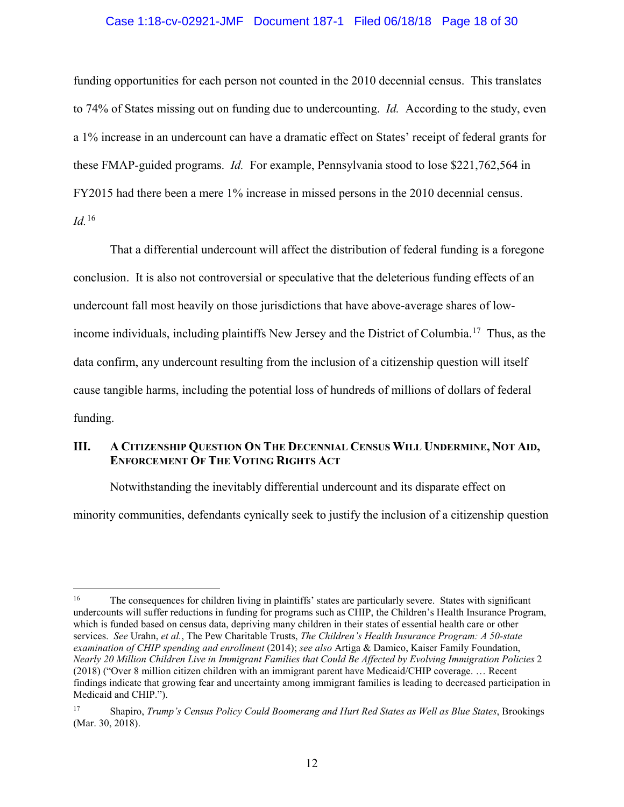#### Case 1:18-cv-02921-JMF Document 187-1 Filed 06/18/18 Page 18 of 30

funding opportunities for each person not counted in the 2010 decennial census. This translates to 74% of States missing out on funding due to undercounting. *Id.* According to the study, even a 1% increase in an undercount can have a dramatic effect on States' receipt of federal grants for these FMAP-guided programs. *Id.* For example, Pennsylvania stood to lose \$221,762,564 in FY2015 had there been a mere 1% increase in missed persons in the 2010 decennial census. *Id.*<sup>16</sup>

That a differential undercount will affect the distribution of federal funding is a foregone conclusion. It is also not controversial or speculative that the deleterious funding effects of an undercount fall most heavily on those jurisdictions that have above-average shares of lowincome individuals, including plaintiffs New Jersey and the District of Columbia.<sup>17</sup> Thus, as the data confirm, any undercount resulting from the inclusion of a citizenship question will itself cause tangible harms, including the potential loss of hundreds of millions of dollars of federal funding.

# **III. A CITIZENSHIP QUESTION ON THE DECENNIAL CENSUS WILL UNDERMINE, NOT AID, ENFORCEMENT OF THE VOTING RIGHTS ACT**

Notwithstanding the inevitably differential undercount and its disparate effect on

minority communities, defendants cynically seek to justify the inclusion of a citizenship question

<sup>&</sup>lt;sup>16</sup> The consequences for children living in plaintiffs' states are particularly severe. States with significant undercounts will suffer reductions in funding for programs such as CHIP, the Children's Health Insurance Program, which is funded based on census data, depriving many children in their states of essential health care or other services. *See* Urahn, *et al.*, The Pew Charitable Trusts, *The Children's Health Insurance Program: A 50-state examination of CHIP spending and enrollment* (2014); *see also* Artiga & Damico, Kaiser Family Foundation, *Nearly 20 Million Children Live in Immigrant Families that Could Be Affected by Evolving Immigration Policies* 2 (2018) ("Over 8 million citizen children with an immigrant parent have Medicaid/CHIP coverage. … Recent findings indicate that growing fear and uncertainty among immigrant families is leading to decreased participation in Medicaid and CHIP.").

<sup>17</sup> Shapiro, *Trump's Census Policy Could Boomerang and Hurt Red States as Well as Blue States*, Brookings (Mar. 30, 2018).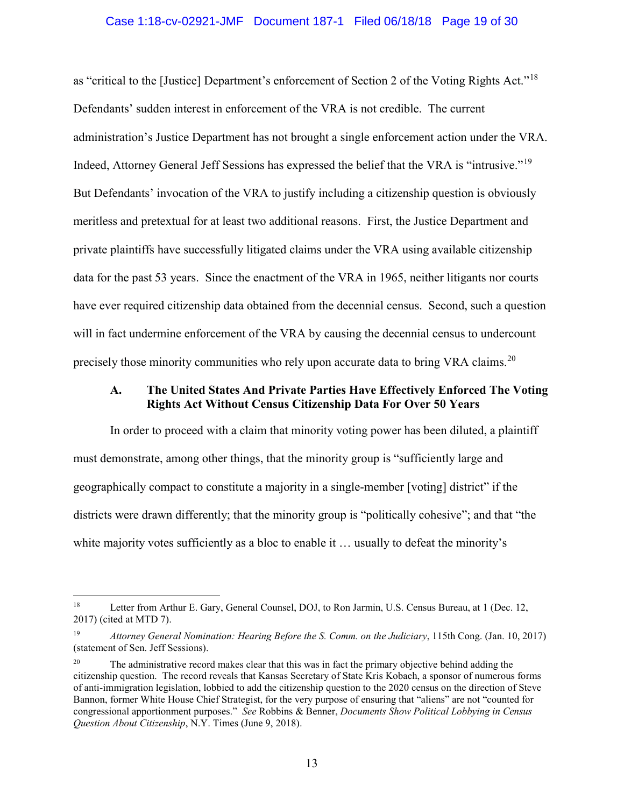#### Case 1:18-cv-02921-JMF Document 187-1 Filed 06/18/18 Page 19 of 30

as "critical to the [Justice] Department's enforcement of Section 2 of the Voting Rights Act."<sup>18</sup> Defendants' sudden interest in enforcement of the VRA is not credible. The current administration's Justice Department has not brought a single enforcement action under the VRA. Indeed, Attorney General Jeff Sessions has expressed the belief that the VRA is "intrusive."<sup>19</sup> But Defendants' invocation of the VRA to justify including a citizenship question is obviously meritless and pretextual for at least two additional reasons. First, the Justice Department and private plaintiffs have successfully litigated claims under the VRA using available citizenship data for the past 53 years. Since the enactment of the VRA in 1965, neither litigants nor courts have ever required citizenship data obtained from the decennial census. Second, such a question will in fact undermine enforcement of the VRA by causing the decennial census to undercount precisely those minority communities who rely upon accurate data to bring VRA claims.<sup>20</sup>

### **A. The United States And Private Parties Have Effectively Enforced The Voting Rights Act Without Census Citizenship Data For Over 50 Years**

In order to proceed with a claim that minority voting power has been diluted, a plaintiff must demonstrate, among other things, that the minority group is "sufficiently large and geographically compact to constitute a majority in a single-member [voting] district" if the districts were drawn differently; that the minority group is "politically cohesive"; and that "the white majority votes sufficiently as a bloc to enable it ... usually to defeat the minority's

<sup>&</sup>lt;sup>18</sup> Letter from Arthur E. Gary, General Counsel, DOJ, to Ron Jarmin, U.S. Census Bureau, at 1 (Dec. 12, 2017) (cited at MTD 7).

<sup>19</sup> *Attorney General Nomination: Hearing Before the S. Comm. on the Judiciary*, 115th Cong. (Jan. 10, 2017) (statement of Sen. Jeff Sessions).

The administrative record makes clear that this was in fact the primary objective behind adding the citizenship question. The record reveals that Kansas Secretary of State Kris Kobach, a sponsor of numerous forms of anti-immigration legislation, lobbied to add the citizenship question to the 2020 census on the direction of Steve Bannon, former White House Chief Strategist, for the very purpose of ensuring that "aliens" are not "counted for congressional apportionment purposes." *See* Robbins & Benner, *Documents Show Political Lobbying in Census Question About Citizenship*, N.Y. Times (June 9, 2018).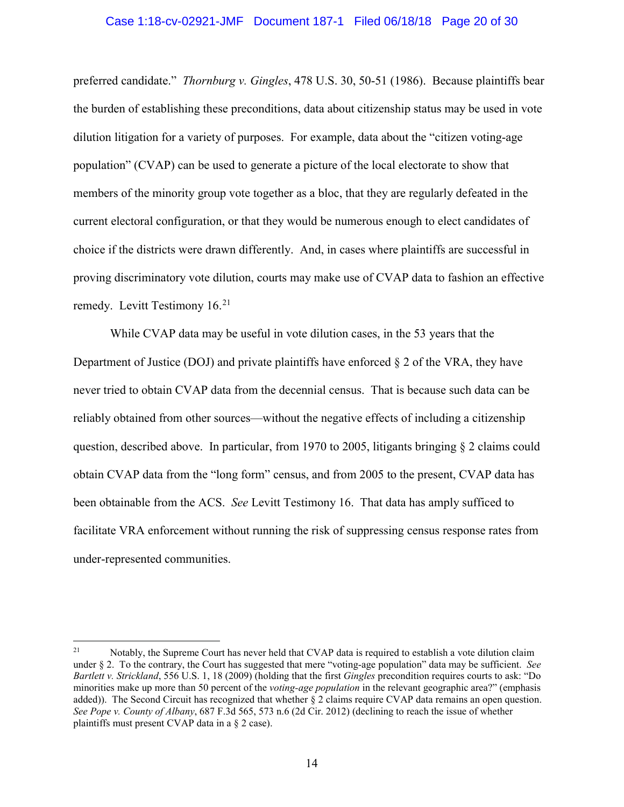#### Case 1:18-cv-02921-JMF Document 187-1 Filed 06/18/18 Page 20 of 30

preferred candidate." *Thornburg v. Gingles*, 478 U.S. 30, 50-51 (1986). Because plaintiffs bear the burden of establishing these preconditions, data about citizenship status may be used in vote dilution litigation for a variety of purposes. For example, data about the "citizen voting-age population" (CVAP) can be used to generate a picture of the local electorate to show that members of the minority group vote together as a bloc, that they are regularly defeated in the current electoral configuration, or that they would be numerous enough to elect candidates of choice if the districts were drawn differently. And, in cases where plaintiffs are successful in proving discriminatory vote dilution, courts may make use of CVAP data to fashion an effective remedy. Levitt Testimony  $16.<sup>21</sup>$ 

While CVAP data may be useful in vote dilution cases, in the 53 years that the Department of Justice (DOJ) and private plaintiffs have enforced  $\S 2$  of the VRA, they have never tried to obtain CVAP data from the decennial census. That is because such data can be reliably obtained from other sources—without the negative effects of including a citizenship question, described above. In particular, from 1970 to 2005, litigants bringing  $\S$  2 claims could obtain CVAP data from the "long form" census, and from 2005 to the present, CVAP data has been obtainable from the ACS. *See* Levitt Testimony 16. That data has amply sufficed to facilitate VRA enforcement without running the risk of suppressing census response rates from under-represented communities.

<sup>&</sup>lt;sup>21</sup> Notably, the Supreme Court has never held that CVAP data is required to establish a vote dilution claim under § 2. To the contrary, the Court has suggested that mere "voting-age population" data may be sufficient. *See Bartlett v. Strickland*, 556 U.S. 1, 18 (2009) (holding that the first *Gingles* precondition requires courts to ask: "Do minorities make up more than 50 percent of the *voting-age population* in the relevant geographic area?" (emphasis added)). The Second Circuit has recognized that whether § 2 claims require CVAP data remains an open question. *See Pope v. County of Albany*, 687 F.3d 565, 573 n.6 (2d Cir. 2012) (declining to reach the issue of whether plaintiffs must present CVAP data in a § 2 case).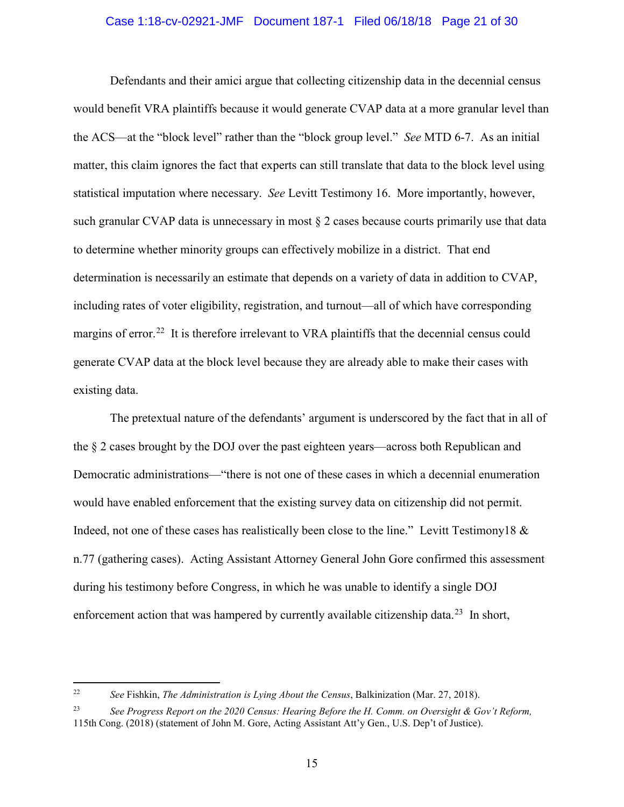#### Case 1:18-cv-02921-JMF Document 187-1 Filed 06/18/18 Page 21 of 30

Defendants and their amici argue that collecting citizenship data in the decennial census would benefit VRA plaintiffs because it would generate CVAP data at a more granular level than the ACS—at the "block level" rather than the "block group level." *See* MTD 6-7. As an initial matter, this claim ignores the fact that experts can still translate that data to the block level using statistical imputation where necessary. *See* Levitt Testimony 16. More importantly, however, such granular CVAP data is unnecessary in most  $\S$  2 cases because courts primarily use that data to determine whether minority groups can effectively mobilize in a district. That end determination is necessarily an estimate that depends on a variety of data in addition to CVAP, including rates of voter eligibility, registration, and turnout—all of which have corresponding margins of error.<sup>22</sup> It is therefore irrelevant to VRA plaintiffs that the decennial census could generate CVAP data at the block level because they are already able to make their cases with existing data.

The pretextual nature of the defendants' argument is underscored by the fact that in all of the § 2 cases brought by the DOJ over the past eighteen years—across both Republican and Democratic administrations—"there is not one of these cases in which a decennial enumeration would have enabled enforcement that the existing survey data on citizenship did not permit. Indeed, not one of these cases has realistically been close to the line." Levitt Testimony18 & n.77 (gathering cases). Acting Assistant Attorney General John Gore confirmed this assessment during his testimony before Congress, in which he was unable to identify a single DOJ enforcement action that was hampered by currently available citizenship data.<sup>23</sup> In short,

<sup>22</sup> *See* Fishkin, *The Administration is Lying About the Census*, Balkinization (Mar. 27, 2018).

<sup>23</sup> *See Progress Report on the 2020 Census: Hearing Before the H. Comm. on Oversight & Gov't Reform,*  115th Cong. (2018) (statement of John M. Gore, Acting Assistant Att'y Gen., U.S. Dep't of Justice).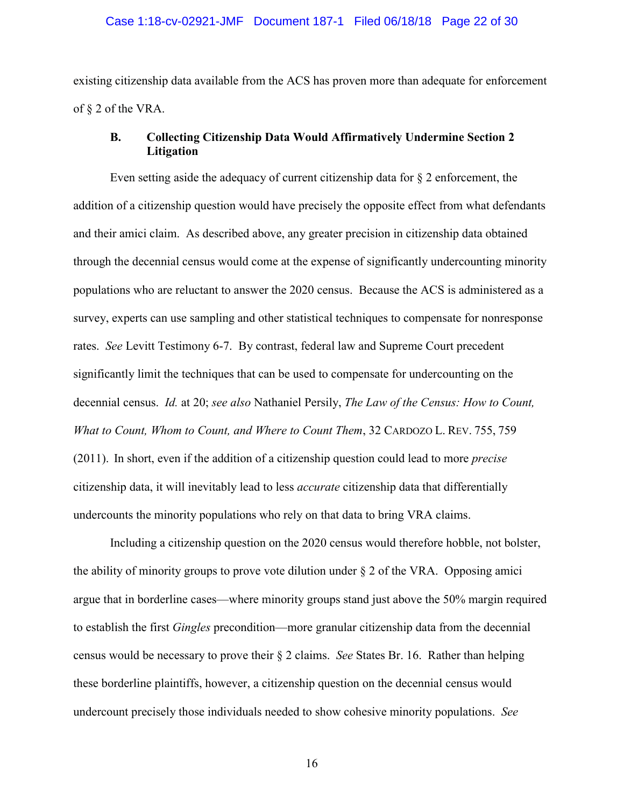# Case 1:18-cv-02921-JMF Document 187-1 Filed 06/18/18 Page 22 of 30

existing citizenship data available from the ACS has proven more than adequate for enforcement of § 2 of the VRA.

# **B. Collecting Citizenship Data Would Affirmatively Undermine Section 2 Litigation**

Even setting aside the adequacy of current citizenship data for  $\S$  2 enforcement, the addition of a citizenship question would have precisely the opposite effect from what defendants and their amici claim. As described above, any greater precision in citizenship data obtained through the decennial census would come at the expense of significantly undercounting minority populations who are reluctant to answer the 2020 census. Because the ACS is administered as a survey, experts can use sampling and other statistical techniques to compensate for nonresponse rates. *See* Levitt Testimony 6-7. By contrast, federal law and Supreme Court precedent significantly limit the techniques that can be used to compensate for undercounting on the decennial census. *Id.* at 20; *see also* Nathaniel Persily, *The Law of the Census: How to Count, What to Count, Whom to Count, and Where to Count Them*, 32 CARDOZO L. REV. 755, 759 (2011). In short, even if the addition of a citizenship question could lead to more *precise*  citizenship data, it will inevitably lead to less *accurate* citizenship data that differentially undercounts the minority populations who rely on that data to bring VRA claims.

Including a citizenship question on the 2020 census would therefore hobble, not bolster, the ability of minority groups to prove vote dilution under § 2 of the VRA. Opposing amici argue that in borderline cases—where minority groups stand just above the 50% margin required to establish the first *Gingles* precondition—more granular citizenship data from the decennial census would be necessary to prove their § 2 claims. *See* States Br. 16. Rather than helping these borderline plaintiffs, however, a citizenship question on the decennial census would undercount precisely those individuals needed to show cohesive minority populations. *See* 

16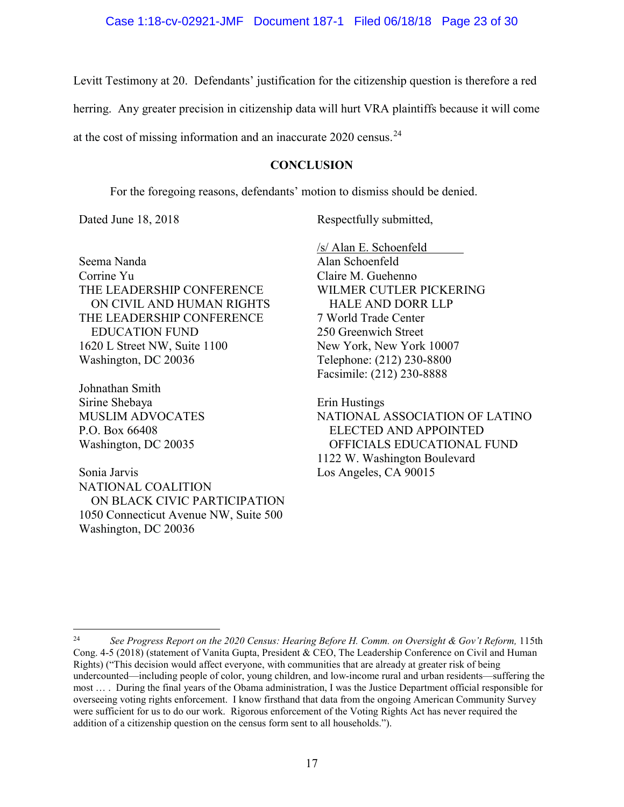Levitt Testimony at 20. Defendants' justification for the citizenship question is therefore a red

herring. Any greater precision in citizenship data will hurt VRA plaintiffs because it will come

at the cost of missing information and an inaccurate 2020 census.<sup>24</sup>

# **CONCLUSION**

For the foregoing reasons, defendants' motion to dismiss should be denied.

Dated June 18, 2018 Respectfully submitted,

Seema Nanda Corrine Yu THE LEADERSHIP CONFERENCE ON CIVIL AND HUMAN RIGHTS THE LEADERSHIP CONFERENCE EDUCATION FUND 1620 L Street NW, Suite 1100 Washington, DC 20036

Johnathan Smith Sirine Shebaya MUSLIM ADVOCATES P.O. Box 66408 Washington, DC 20035

Sonia Jarvis NATIONAL COALITION ON BLACK CIVIC PARTICIPATION 1050 Connecticut Avenue NW, Suite 500 Washington, DC 20036

/s/ Alan E. Schoenfeld Alan Schoenfeld Claire M. Guehenno WILMER CUTLER PICKERING HALE AND DORR LLP 7 World Trade Center 250 Greenwich Street New York, New York 10007 Telephone: (212) 230-8800 Facsimile: (212) 230-8888

Erin Hustings NATIONAL ASSOCIATION OF LATINO ELECTED AND APPOINTED OFFICIALS EDUCATIONAL FUND 1122 W. Washington Boulevard Los Angeles, CA 90015

<sup>&</sup>lt;sup>24</sup> See Progress Report on the 2020 Census: Hearing Before H. Comm. on Oversight & Gov't Reform, 115th Cong. 4-5 (2018) (statement of Vanita Gupta, President & CEO, The Leadership Conference on Civil and Human Rights) ("This decision would affect everyone, with communities that are already at greater risk of being undercounted—including people of color, young children, and low-income rural and urban residents—suffering the most … . During the final years of the Obama administration, I was the Justice Department official responsible for overseeing voting rights enforcement. I know firsthand that data from the ongoing American Community Survey were sufficient for us to do our work. Rigorous enforcement of the Voting Rights Act has never required the addition of a citizenship question on the census form sent to all households.").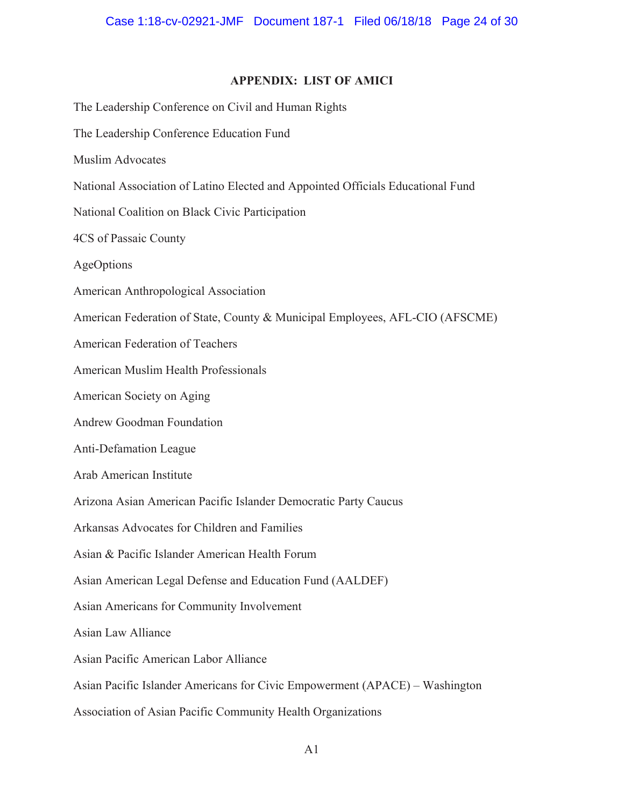# **APPENDIX: LIST OF AMICI**

The Leadership Conference on Civil and Human Rights The Leadership Conference Education Fund Muslim Advocates National Association of Latino Elected and Appointed Officials Educational Fund National Coalition on Black Civic Participation 4CS of Passaic County AgeOptions American Anthropological Association American Federation of State, County & Municipal Employees, AFL-CIO (AFSCME) American Federation of Teachers American Muslim Health Professionals American Society on Aging Andrew Goodman Foundation Anti-Defamation League Arab American Institute Arizona Asian American Pacific Islander Democratic Party Caucus Arkansas Advocates for Children and Families Asian & Pacific Islander American Health Forum Asian American Legal Defense and Education Fund (AALDEF) Asian Americans for Community Involvement Asian Law Alliance Asian Pacific American Labor Alliance Asian Pacific Islander Americans for Civic Empowerment (APACE) – Washington Association of Asian Pacific Community Health Organizations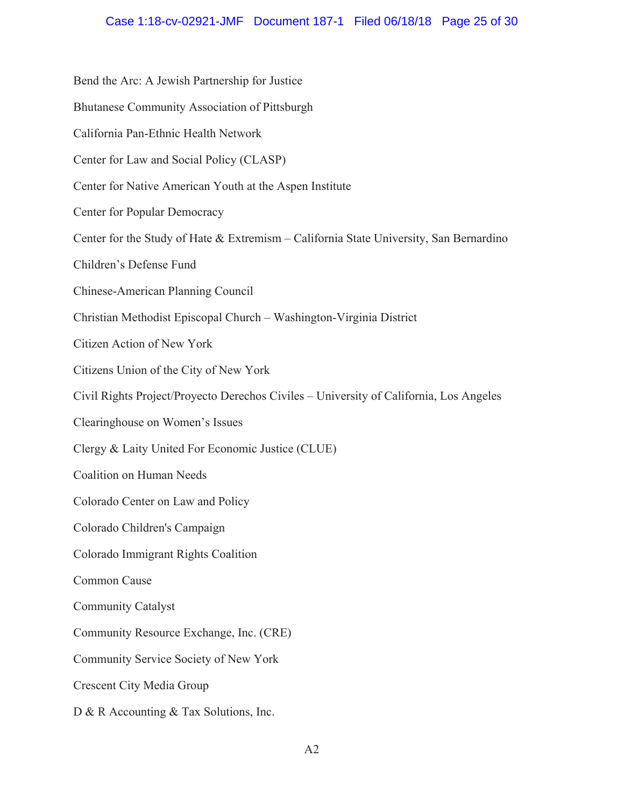## Case 1:18-cv-02921-JMF Document 187-1 Filed 06/18/18 Page 25 of 30

Bend the Arc: A Jewish Partnership for Justice Bhutanese Community Association of Pittsburgh California Pan-Ethnic Health Network Center for Law and Social Policy (CLASP) Center for Native American Youth at the Aspen Institute **Center for Popular Democracy** Center for the Study of Hate & Extremism – California State University, San Bernardino Children's Defense Fund Chinese-American Planning Council Christian Methodist Episcopal Church - Washington-Virginia District Citizen Action of New York Citizens Union of the City of New York Civil Rights Project/Proyecto Derechos Civiles – University of California, Los Angeles Clearinghouse on Women's Issues Clergy & Laity United For Economic Justice (CLUE) **Coalition on Human Needs** Colorado Center on Law and Policy Colorado Children's Campaign Colorado Immigrant Rights Coalition Common Cause **Community Catalyst** Community Resource Exchange, Inc. (CRE) Community Service Society of New York **Crescent City Media Group** D & R Accounting & Tax Solutions, Inc.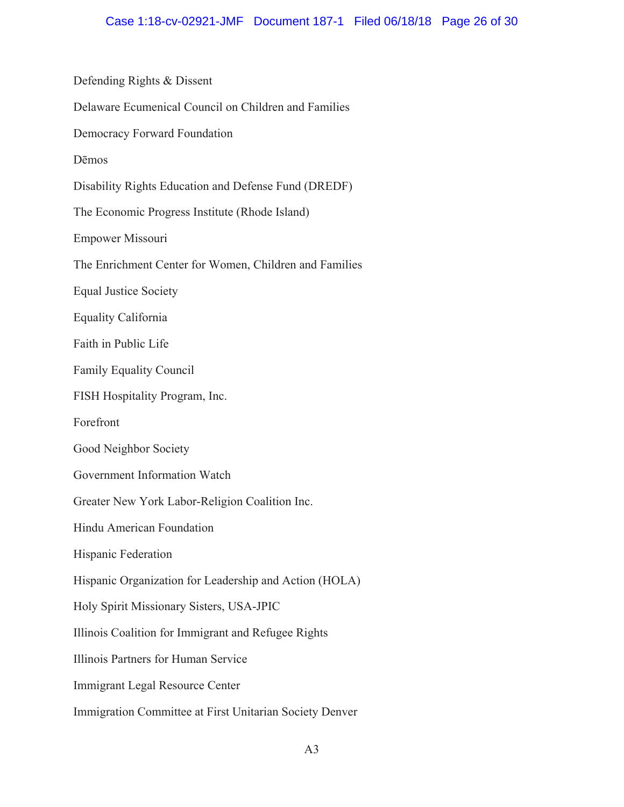Defending Rights & Dissent Delaware Ecumenical Council on Children and Families Democracy Forward Foundation **Dēmos** Disability Rights Education and Defense Fund (DREDF) The Economic Progress Institute (Rhode Island) Empower Missouri The Enrichment Center for Women, Children and Families **Equal Justice Society** Equality California Faith in Public Life **Family Equality Council** FISH Hospitality Program, Inc. Forefront Good Neighbor Society Government Information Watch Greater New York Labor-Religion Coalition Inc. Hindu American Foundation Hispanic Federation Hispanic Organization for Leadership and Action (HOLA) Holy Spirit Missionary Sisters, USA-JPIC Illinois Coalition for Immigrant and Refugee Rights Illinois Partners for Human Service Immigrant Legal Resource Center Immigration Committee at First Unitarian Society Denver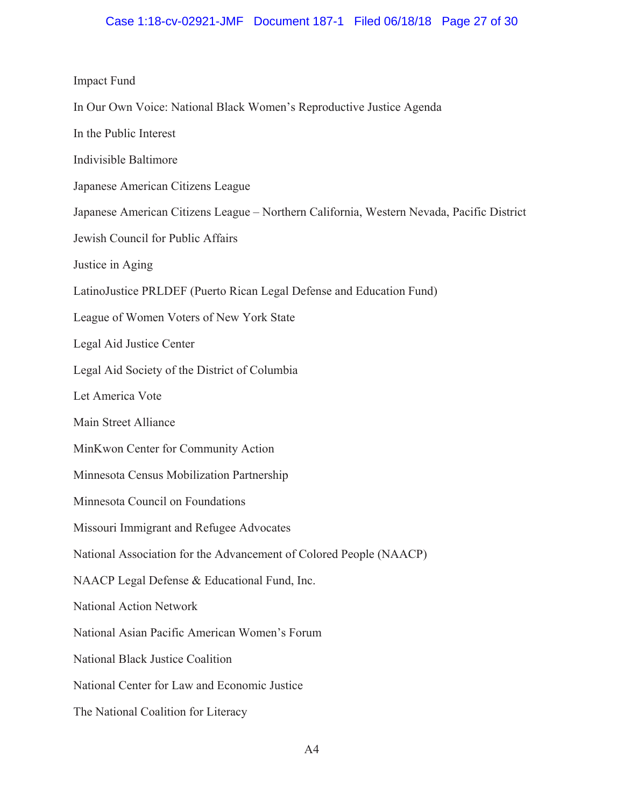## Case 1:18-cv-02921-JMF Document 187-1 Filed 06/18/18 Page 27 of 30

#### **Impact Fund**

- In Our Own Voice: National Black Women's Reproductive Justice Agenda
- In the Public Interest
- Indivisible Baltimore
- Japanese American Citizens League
- Japanese American Citizens League Northern California, Western Nevada, Pacific District
- Jewish Council for Public Affairs
- Justice in Aging
- LatinoJustice PRLDEF (Puerto Rican Legal Defense and Education Fund)
- League of Women Voters of New York State
- Legal Aid Justice Center
- Legal Aid Society of the District of Columbia
- Let America Vote
- Main Street Alliance
- MinKwon Center for Community Action
- Minnesota Census Mobilization Partnership
- Minnesota Council on Foundations
- Missouri Immigrant and Refugee Advocates
- National Association for the Advancement of Colored People (NAACP)
- NAACP Legal Defense & Educational Fund, Inc.
- **National Action Network**
- National Asian Pacific American Women's Forum
- National Black Justice Coalition
- National Center for Law and Economic Justice
- The National Coalition for Literacy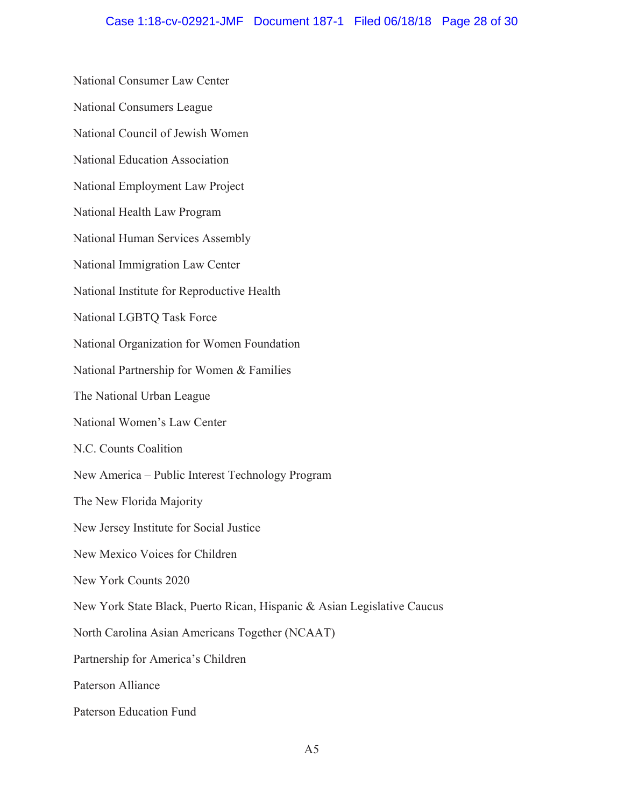National Consumer Law Center National Consumers League National Council of Jewish Women National Education Association National Employment Law Project National Health Law Program National Human Services Assembly National Immigration Law Center National Institute for Reproductive Health National LGBTQ Task Force National Organization for Women Foundation National Partnership for Women & Families The National Urban League National Women's Law Center N.C. Counts Coalition New America - Public Interest Technology Program The New Florida Majority New Jersey Institute for Social Justice New Mexico Voices for Children New York Counts 2020 New York State Black, Puerto Rican, Hispanic & Asian Legislative Caucus North Carolina Asian Americans Together (NCAAT) Partnership for America's Children Paterson Alliance Paterson Education Fund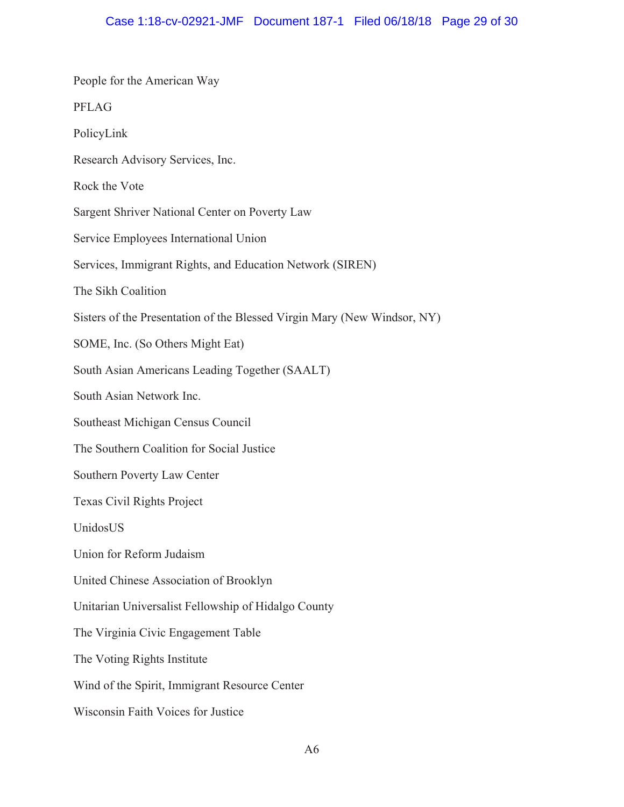| People for the American Way                                              |
|--------------------------------------------------------------------------|
| <b>PFLAG</b>                                                             |
| PolicyLink                                                               |
| Research Advisory Services, Inc.                                         |
| Rock the Vote                                                            |
| Sargent Shriver National Center on Poverty Law                           |
| Service Employees International Union                                    |
| Services, Immigrant Rights, and Education Network (SIREN)                |
| The Sikh Coalition                                                       |
| Sisters of the Presentation of the Blessed Virgin Mary (New Windsor, NY) |
| SOME, Inc. (So Others Might Eat)                                         |
| South Asian Americans Leading Together (SAALT)                           |
| South Asian Network Inc.                                                 |
| Southeast Michigan Census Council                                        |
| The Southern Coalition for Social Justice                                |
| Southern Poverty Law Center                                              |
| Texas Civil Rights Project                                               |
| UnidosUS                                                                 |
| Union for Reform Judaism                                                 |
| United Chinese Association of Brooklyn                                   |
| Unitarian Universalist Fellowship of Hidalgo County                      |
| The Virginia Civic Engagement Table                                      |
| The Voting Rights Institute                                              |
| Wind of the Spirit, Immigrant Resource Center                            |
| Wisconsin Faith Voices for Justice                                       |